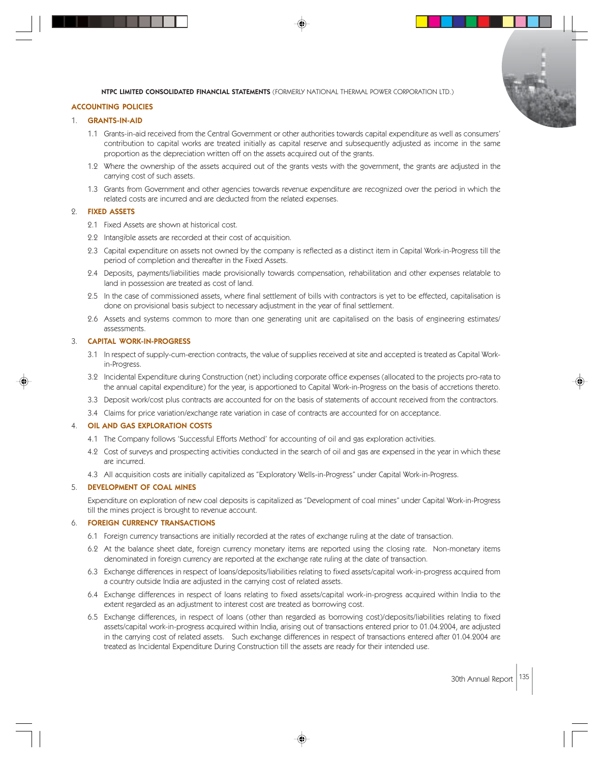

#### ACCOUNTING POLICIES

## 1. GRANTS-IN-AID

- 1.1 Grants-in-aid received from the Central Government or other authorities towards capital expenditure as well as consumers' contribution to capital works are treated initially as capital reserve and subsequently adjusted as income in the same proportion as the depreciation written off on the assets acquired out of the grants.
- 1.2 Where the ownership of the assets acquired out of the grants vests with the government, the grants are adjusted in the carrying cost of such assets.
- 1.3 Grants from Government and other agencies towards revenue expenditure are recognized over the period in which the related costs are incurred and are deducted from the related expenses.

## 2. FIXED ASSETS

- 2.1 Fixed Assets are shown at historical cost.
- 2.2 Intangible assets are recorded at their cost of acquisition.
- 2.3 Capital expenditure on assets not owned by the company is reflected as a distinct item in Capital Work-in-Progress till the period of completion and thereafter in the Fixed Assets.
- 2.4 Deposits, payments/liabilities made provisionally towards compensation, rehabilitation and other expenses relatable to land in possession are treated as cost of land.
- 2.5 In the case of commissioned assets, where final settlement of bills with contractors is yet to be effected, capitalisation is done on provisional basis subject to necessary adjustment in the year of final settlement.
- 2.6 Assets and systems common to more than one generating unit are capitalised on the basis of engineering estimates/ assessments.

## 3. CAPITAL WORK-IN-PROGRESS

- 3.1 In respect of supply-cum-erection contracts, the value of supplies received at site and accepted is treated as Capital Workin-Progress.
- 3.2 Incidental Expenditure during Construction (net) including corporate office expenses (allocated to the projects pro-rata to the annual capital expenditure) for the year, is apportioned to Capital Work-in-Progress on the basis of accretions thereto.
- 3.3 Deposit work/cost plus contracts are accounted for on the basis of statements of account received from the contractors.
- 3.4 Claims for price variation/exchange rate variation in case of contracts are accounted for on acceptance.

## 4. OIL AND GAS EXPLORATION COSTS

- 4.1 The Company follows 'Successful Efforts Method' for accounting of oil and gas exploration activities.
- 4.2 Cost of surveys and prospecting activities conducted in the search of oil and gas are expensed in the year in which these are incurred.
- 4.3 All acquisition costs are initially capitalized as "Exploratory Wells-in-Progress" under Capital Work-in-Progress.

### 5. DEVELOPMENT OF COAL MINES

Expenditure on exploration of new coal deposits is capitalized as "Development of coal mines" under Capital Work-in-Progress till the mines project is brought to revenue account.

#### **FOREIGN CURRENCY TRANSACTIONS**

- 6.1 Foreign currency transactions are initially recorded at the rates of exchange ruling at the date of transaction.
- 6.2 At the balance sheet date, foreign currency monetary items are reported using the closing rate. Non-monetary items denominated in foreign currency are reported at the exchange rate ruling at the date of transaction.
- 6.3 Exchange differences in respect of loans/deposits/liabilities relating to fixed assets/capital work-in-progress acquired from a country outside India are adjusted in the carrying cost of related assets.
- 6.4 Exchange differences in respect of loans relating to fixed assets/capital work-in-progress acquired within India to the extent regarded as an adjustment to interest cost are treated as borrowing cost.
- 6.5 Exchange differences, in respect of loans (other than regarded as borrowing cost)/deposits/liabilities relating to fixed assets/capital work-in-progress acquired within India, arising out of transactions entered prior to 01.04.2004, are adjusted in the carrying cost of related assets. Such exchange differences in respect of transactions entered after 01.04.2004 are treated as Incidental Expenditure During Construction till the assets are ready for their intended use.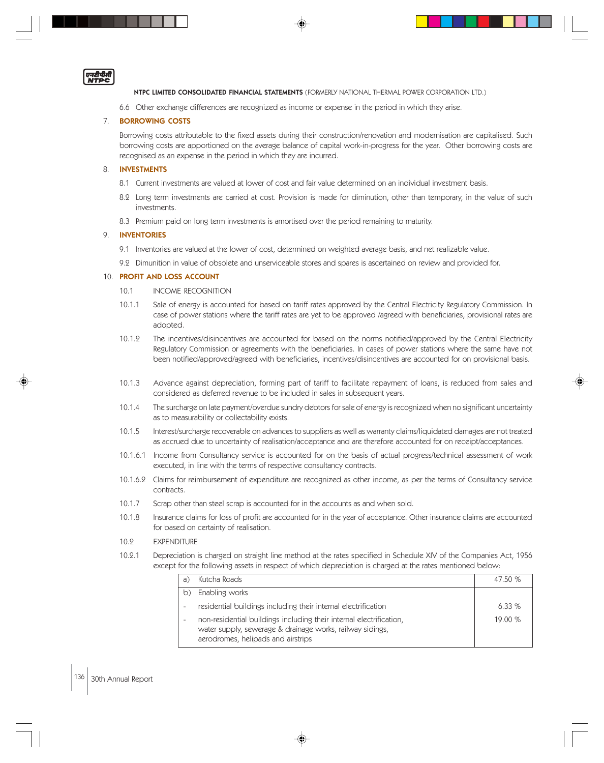एनरीपीती

NTPC LIMITED CONSOLIDATED FINANCIAL STATEMENTS (FORMERLY NATIONAL THERMAL POWER CORPORATION LTD.)

6.6 Other exchange differences are recognized as income or expense in the period in which they arise.

#### 7. BORROWING COSTS

Borrowing costs attributable to the fixed assets during their construction/renovation and modernisation are capitalised. Such borrowing costs are apportioned on the average balance of capital work-in-progress for the year. Other borrowing costs are recognised as an expense in the period in which they are incurred.

#### 8. INVESTMENTS

- 8.1 Current investments are valued at lower of cost and fair value determined on an individual investment basis.
- 8.2 Long term investments are carried at cost. Provision is made for diminution, other than temporary, in the value of such investments.
- 8.3 Premium paid on long term investments is amortised over the period remaining to maturity.

## 9. INVENTORIES

- 9.1 Inventories are valued at the lower of cost, determined on weighted average basis, and net realizable value.
- 9.2 Dimunition in value of obsolete and unserviceable stores and spares is ascertained on review and provided for.

#### 10. PROFIT AND LOSS ACCOUNT

- 10.1 INCOME RECOGNITION
- 10.1.1 Sale of energy is accounted for based on tariff rates approved by the Central Electricity Regulatory Commission. In case of power stations where the tariff rates are yet to be approved /agreed with beneficiaries, provisional rates are adopted.
- 10.1.2 The incentives/disincentives are accounted for based on the norms notified/approved by the Central Electricity Regulatory Commission or agreements with the beneficiaries. In cases of power stations where the same have not been notified/approved/agreed with beneficiaries, incentives/disincentives are accounted for on provisional basis.
- 10.1.3 Advance against depreciation, forming part of tariff to facilitate repayment of loans, is reduced from sales and considered as deferred revenue to be included in sales in subsequent years.
- 10.1.4 The surcharge on late payment/overdue sundry debtors for sale of energy is recognized when no significant uncertainty as to measurability or collectability exists.
- 10.1.5 Interest/surcharge recoverable on advances to suppliers as well as warranty claims/liquidated damages are not treated as accrued due to uncertainty of realisation/acceptance and are therefore accounted for on receipt/acceptances.
- 10.1.6.1 Income from Consultancy service is accounted for on the basis of actual progress/technical assessment of work executed, in line with the terms of respective consultancy contracts.
- 10.1.6.2 Claims for reimbursement of expenditure are recognized as other income, as per the terms of Consultancy service contracts.
- 10.1.7 Scrap other than steel scrap is accounted for in the accounts as and when sold.
- 10.1.8 Insurance claims for loss of profit are accounted for in the year of acceptance. Other insurance claims are accounted for based on certainty of realisation.
- 10.2 EXPENDITURE
- 10.2.1 Depreciation is charged on straight line method at the rates specified in Schedule XIV of the Companies Act, 1956 except for the following assets in respect of which depreciation is charged at the rates mentioned below:

|    | Kutcha Roads                                                                                                                                                           | 47.50 % |
|----|------------------------------------------------------------------------------------------------------------------------------------------------------------------------|---------|
| b) | Enabling works                                                                                                                                                         |         |
|    | residential buildings including their internal electrification                                                                                                         | 6.33%   |
|    | non-residential buildings including their internal electrification,<br>water supply, sewerage & drainage works, railway sidings,<br>aerodromes, helipads and airstrips | 19.00 % |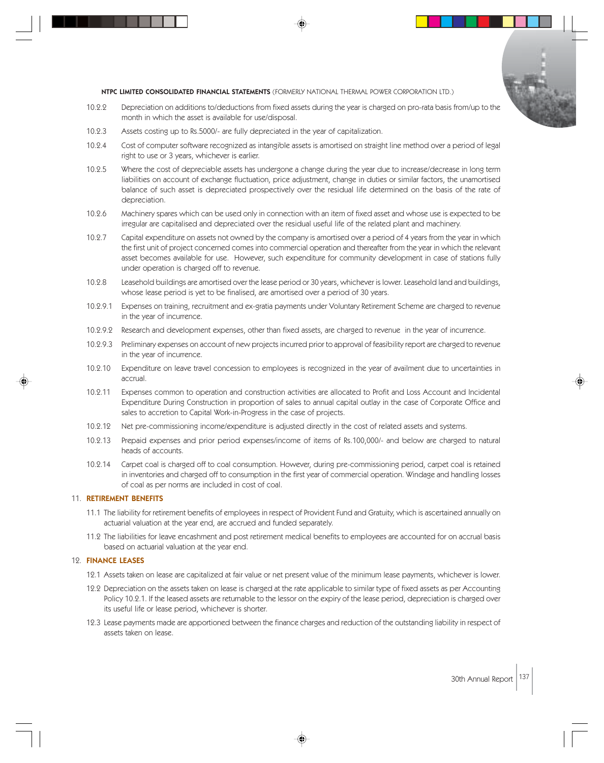

- 10.2.2 Depreciation on additions to/deductions from fixed assets during the year is charged on pro-rata basis from/up to the month in which the asset is available for use/disposal.
- 10.2.3 Assets costing up to Rs.5000/- are fully depreciated in the year of capitalization.
- 10.2.4 Cost of computer software recognized as intangible assets is amortised on straight line method over a period of legal right to use or 3 years, whichever is earlier.
- 10.2.5 Where the cost of depreciable assets has undergone a change during the year due to increase/decrease in long term liabilities on account of exchange fluctuation, price adjustment, change in duties or similar factors, the unamortised balance of such asset is depreciated prospectively over the residual life determined on the basis of the rate of depreciation.
- 10.2.6 Machinery spares which can be used only in connection with an item of fixed asset and whose use is expected to be irregular are capitalised and depreciated over the residual useful life of the related plant and machinery.
- 10.2.7 Capital expenditure on assets not owned by the company is amortised over a period of 4 years from the year in which the first unit of project concerned comes into commercial operation and thereafter from the year in which the relevant asset becomes available for use. However, such expenditure for community development in case of stations fully under operation is charged off to revenue.
- 10.2.8 Leasehold buildings are amortised over the lease period or 30 years, whichever is lower. Leasehold land and buildings, whose lease period is yet to be finalised, are amortised over a period of 30 years.
- 10.2.9.1 Expenses on training, recruitment and ex-gratia payments under Voluntary Retirement Scheme are charged to revenue in the year of incurrence.
- 10.2.9.2 Research and development expenses, other than fixed assets, are charged to revenue in the year of incurrence.
- 10.2.9.3 Preliminary expenses on account of new projects incurred prior to approval of feasibility report are charged to revenue in the year of incurrence.
- 10.2.10 Expenditure on leave travel concession to employees is recognized in the year of availment due to uncertainties in accrual.
- 10.2.11 Expenses common to operation and construction activities are allocated to Profit and Loss Account and Incidental Expenditure During Construction in proportion of sales to annual capital outlay in the case of Corporate Office and sales to accretion to Capital Work-in-Progress in the case of projects.
- 10.2.12 Net pre-commissioning income/expenditure is adjusted directly in the cost of related assets and systems.
- 10.2.13 Prepaid expenses and prior period expenses/income of items of Rs.100,000/- and below are charged to natural heads of accounts.
- 10.2.14 Carpet coal is charged off to coal consumption. However, during pre-commissioning period, carpet coal is retained in inventories and charged off to consumption in the first year of commercial operation. Windage and handling losses of coal as per norms are included in cost of coal.

## 11. RETIREMENT BENEFITS

- 11.1 The liability for retirement benefits of employees in respect of Provident Fund and Gratuity, which is ascertained annually on actuarial valuation at the year end, are accrued and funded separately.
- 11.2 The liabilities for leave encashment and post retirement medical benefits to employees are accounted for on accrual basis based on actuarial valuation at the year end.

#### 12. FINANCE LEASES

- 12.1 Assets taken on lease are capitalized at fair value or net present value of the minimum lease payments, whichever is lower.
- 12.2 Depreciation on the assets taken on lease is charged at the rate applicable to similar type of fixed assets as per Accounting Policy 10.2.1. If the leased assets are returnable to the lessor on the expiry of the lease period, depreciation is charged over its useful life or lease period, whichever is shorter.
- 12.3 Lease payments made are apportioned between the finance charges and reduction of the outstanding liability in respect of assets taken on lease.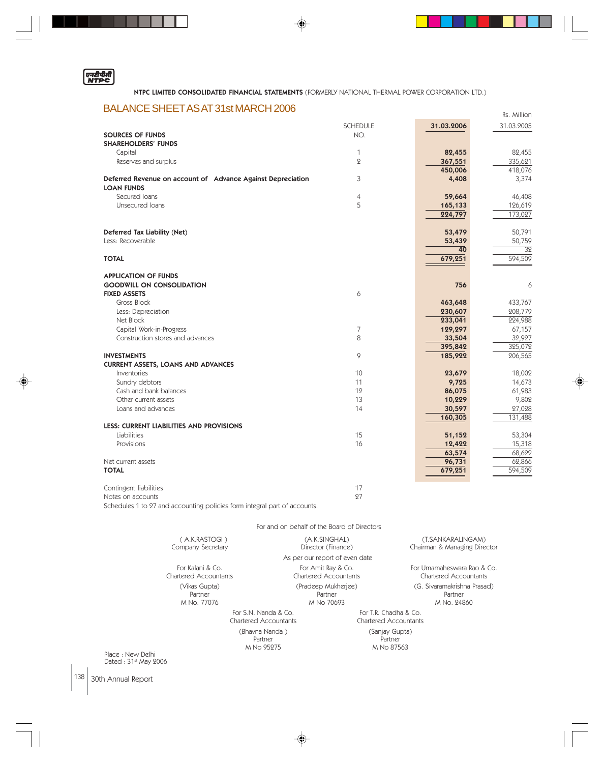

◈

. .

# BALANCE SHEET AS AT 31st MARCH 2006 RS. Aillion

|                                                                           | SCHEDULE       | 31.03.2006      | 31.03.2005 |
|---------------------------------------------------------------------------|----------------|-----------------|------------|
| <b>SOURCES OF FUNDS</b>                                                   | NO.            |                 |            |
| <b>SHAREHOLDERS' FUNDS</b>                                                |                |                 |            |
| Capital                                                                   | 1              | 82,455          | 82,455     |
| Reserves and surplus                                                      | $\overline{2}$ | 367,551         | 335,621    |
|                                                                           |                | 450,006         | 418,076    |
| Deferred Revenue on account of Advance Against Depreciation               | 3              | 4,408           | 3,374      |
| <b>LOAN FUNDS</b>                                                         |                |                 |            |
| Secured Ioans                                                             |                |                 |            |
|                                                                           | 4              | 59,664          | 46,408     |
| Unsecured Ioans                                                           | 5              | 165,133         | 126,619    |
|                                                                           |                | 224,797         | 173,027    |
|                                                                           |                |                 |            |
| Deferred Tax Liability (Net)                                              |                | 53,479          | 50,791     |
| Less: Recoverable                                                         |                | 53,439          | 50,759     |
|                                                                           |                | $\overline{40}$ | 32         |
| <b>TOTAL</b>                                                              |                | 679,251         | 594,509    |
|                                                                           |                |                 |            |
| <b>APPLICATION OF FUNDS</b>                                               |                |                 |            |
| <b>GOODWILL ON CONSOLIDATION</b>                                          |                | 756             | 6          |
| <b>FIXED ASSETS</b>                                                       | 6              |                 |            |
| Gross Block                                                               |                | 463,648         | 433,767    |
| Less: Depreciation                                                        |                | 230,607         | 208,779    |
| Net Block                                                                 |                | 233,041         | 224,988    |
| Capital Work-in-Progress                                                  | 7              | 129,297         | 67,157     |
| Construction stores and advances                                          | 8              | 33,504          | 32,927     |
|                                                                           |                | 395,842         | 325,072    |
| <b>INVESTMENTS</b>                                                        | 9              | 185,922         | 206,565    |
| <b>CURRENT ASSETS, LOANS AND ADVANCES</b>                                 |                |                 |            |
| Inventories                                                               | 10             | 23,679          | 18,002     |
| Sundry debtors                                                            | 11             | 9,725           | 14,673     |
| Cash and bank balances                                                    | 12             | 86,075          | 61,983     |
| Other current assets                                                      | 13             | 10,229          | 9,802      |
| Loans and advances                                                        | 14             | 30,597          | 27,028     |
|                                                                           |                | 160,305         | 131,488    |
| <b>LESS: CURRENT LIABILITIES AND PROVISIONS</b>                           |                |                 |            |
| Liabilities                                                               | 15             | 51,152          | 53,304     |
| Provisions                                                                | 16             | 12,422          | 15,318     |
|                                                                           |                | 63,574          | 68,622     |
| Net current assets                                                        |                | 96,731          | 62,866     |
| <b>TOTAL</b>                                                              |                | 679,251         | 594,509    |
|                                                                           |                |                 |            |
|                                                                           | 17             |                 |            |
| Contingent liabilities                                                    | 27             |                 |            |
| Notes on accounts                                                         |                |                 |            |
| Schedules 1 to 27 and accounting policies form integral part of accounts. |                |                 |            |
|                                                                           |                |                 |            |
| For and on behalf of the Board of Directors                               |                |                 |            |

|                  | (A.K.RASTOGI)<br>Company Secretary                   | (A.K.SINGHAL)<br>Director (Finance)          |                                                | (T.SANKARALINGAM)<br>Chairman & Managing Director     |
|------------------|------------------------------------------------------|----------------------------------------------|------------------------------------------------|-------------------------------------------------------|
|                  |                                                      | As per our report of even date               |                                                |                                                       |
|                  | For Kalani & Co.<br>Chartered Accountants            | For Amit Ray & Co.<br>Chartered Accountants  |                                                | For Umamaheswara Rao & Co.<br>Chartered Accountants   |
|                  | (Vikas Gupta)<br>Partner<br>M No. 77076              | (Pradeep Mukherjee)<br>Partner<br>M No 70693 |                                                | (G. Sivaramakrishna Prasad)<br>Partner<br>M No. 24860 |
|                  | For S.N. Nanda & Co.<br><b>Chartered Accountants</b> |                                              | For T.R. Chadha & Co.<br>Chartered Accountants |                                                       |
| Place: New Delhi | (Bhavna Nanda)<br>Partner<br>M No 95275              |                                              | (Sanjay Gupta)<br>Partner<br>M No 87563        |                                                       |

 $\bigoplus$ 

Place : New Delhi<br>Dated : 31st May 2006

 $\Big|138\Big|$  30th Annual Report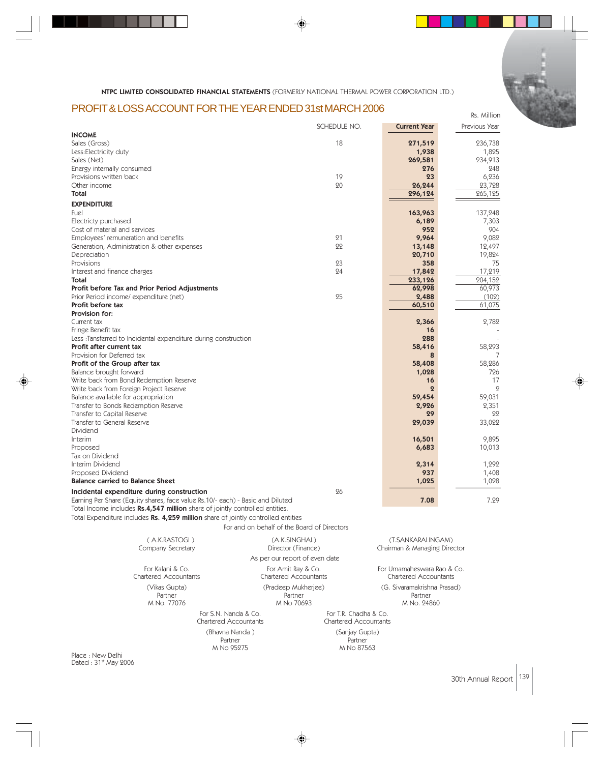# PROFIT & LOSS ACCOUNT FOR THE YEAR ENDED 31st MARCH 2006

|                                                                                     | SCHEDULE NO. | <b>Current Year</b> | Previous Year     |
|-------------------------------------------------------------------------------------|--------------|---------------------|-------------------|
| <b>INCOME</b>                                                                       |              |                     |                   |
| Sales (Gross)                                                                       | 18           | 271,519             | 236,738           |
| Less: Electricity duty                                                              |              | 1,938               | 1,825             |
| Sales (Net)                                                                         |              | 269,581             | 234,913           |
| Energy internally consumed                                                          |              | 276                 | 248               |
| Provisions written back                                                             | 19           | 23                  | 6,236             |
| Other income<br>Total                                                               | 20           | 26,244<br>296,124   | 23,728<br>265,125 |
|                                                                                     |              |                     |                   |
| <b>EXPENDITURE</b>                                                                  |              |                     |                   |
| Fuel                                                                                |              | 163,963             | 137,248           |
| Electricty purchased                                                                |              | 6,189               | 7,303             |
| Cost of material and services                                                       |              | 952                 | 904               |
| Employees' remuneration and benefits                                                | 21<br>22     | 9,964               | 9,082             |
| Generation, Administration & other expenses                                         |              | 13,148              | 12,497            |
| Depreciation<br>Provisions                                                          | 23           | 20,710<br>358       | 19,824<br>75      |
| Interest and finance charges                                                        | 24           | 17,842              | 17,219            |
| Total                                                                               |              | 233,126             | 204,152           |
| Profit before Tax and Prior Period Adjustments                                      |              | 62,998              | 60,973            |
| Prior Period income/ expenditure (net)                                              | 25           | 2,488               | (102)             |
| Profit before tax                                                                   |              | 60,510              | 61,075            |
| <b>Provision for:</b>                                                               |              |                     |                   |
| Current tax                                                                         |              | 2,366               | 2,782             |
| Fringe Benefit tax                                                                  |              | 16                  |                   |
| Less :Tansferred to Incidental expenditure during construction                      |              | 288                 |                   |
| Profit after current tax                                                            |              | 58,416              | 58,293            |
| Provision for Deferred tax                                                          |              | 8                   | 7                 |
| Profit of the Group after tax                                                       |              | 58,408              | 58,286            |
| Balance brought forward                                                             |              | 1,028               | 726               |
| Write back from Bond Redemption Reserve                                             |              | 16                  | 17                |
| Write back from Foreign Project Reserve                                             |              | $\boldsymbol{2}$    | $\overline{Q}$    |
| Balance available for appropriation                                                 |              | 59,454              | 59,031            |
| Transfer to Bonds Redemption Reserve                                                |              | 2,926               | 2,351             |
| Transfer to Capital Reserve                                                         |              | 29                  | 22                |
| Transfer to General Reserve                                                         |              | 29,039              | 33,022            |
| Dividend                                                                            |              |                     |                   |
| Interim                                                                             |              | 16,501              | 9,895             |
| Proposed                                                                            |              | 6,683               | 10,013            |
| Tax on Dividend                                                                     |              |                     |                   |
| Interim Dividend                                                                    |              | 2,314               | 1,292             |
| Proposed Dividend<br><b>Balance carried to Balance Sheet</b>                        |              | 937                 | 1,408             |
|                                                                                     |              | 1,025               | 1,028             |
| Incidental expenditure during construction                                          | 26           |                     |                   |
| Earning Per Share (Equity shares, face value Rs.10/- each) - Basic and Diluted      |              | 7.08                | 7.29              |
| Total Income includes <b>Rs.4,547 million</b> share of jointly controlled entities. |              |                     |                   |
| Total Expenditure includes Rs. 4,259 million share of jointly controlled entities   |              |                     |                   |
| For and on behalf of the Board of Directors                                         |              |                     |                   |

|                   | (A.K.RASTOGI)                                 | (A.K.SINGHAL)                                                                                  |                                         | (T. SANKARALINGAM)                                    |
|-------------------|-----------------------------------------------|------------------------------------------------------------------------------------------------|-----------------------------------------|-------------------------------------------------------|
| Company Secretary |                                               | Director (Finance)<br>As per our report of even date                                           |                                         | Chairman & Managing Director                          |
|                   | For Kalani & Co.<br>Chartered Accountants     | For Amit Ray & Co.<br>Chartered Accountants                                                    |                                         | For Umamaheswara Rao & Co.<br>Chartered Accountants   |
|                   | (Vikas Gupta)<br>Partner<br>M No. 77076       | (Pradeep Mukherjee)<br>Partner<br>M No 70693<br>For T.R. Chadha & Co.<br>Chartered Accountants |                                         | (G. Sivaramakrishna Prasad)<br>Partner<br>M No. 24860 |
|                   | For S.N. Nanda & Co.<br>Chartered Accountants |                                                                                                |                                         |                                                       |
| $1 - 1 - 1 - 1$   | (Bhavna Nanda)<br>Partner<br>M No 95275       |                                                                                                | (Sanjay Gupta)<br>Partner<br>M No 87563 |                                                       |

⊕

Place : New Delhi<br>Dated : 31<sup>st</sup> May 2006

30th Annual Report 139

Rs. Million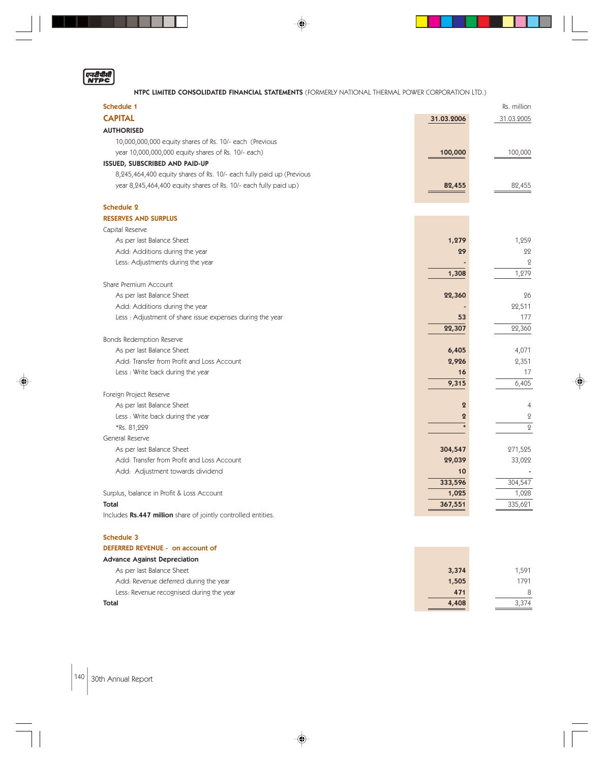|  | в. | н |
|--|----|---|
|  |    |   |

. . . .

NTPC LIMITED CONSOLIDATED FINANCIAL STATEMENTS (FORMERLY NATIONAL THERMAL POWER CORPORATION LTD.)

♦

| <b>Schedule 1</b>                                                    |                  | Rs. million    |
|----------------------------------------------------------------------|------------------|----------------|
| <b>CAPITAL</b>                                                       | 31.03.2006       | 31.03.2005     |
| <b>AUTHORISED</b>                                                    |                  |                |
| 10,000,000,000 equity shares of Rs. 10/- each (Previous              |                  |                |
| year 10,000,000,000 equity shares of Rs. 10/- each)                  | 100,000          | 100,000        |
| ISSUED, SUBSCRIBED AND PAID-UP                                       |                  |                |
| 8,245,464,400 equity shares of Rs. 10/- each fully paid up (Previous |                  |                |
| year 8,245,464,400 equity shares of Rs. 10/- each fully paid up)     | 82,455           | 82,455         |
| <b>Schedule 2</b>                                                    |                  |                |
| <b>RESERVES AND SURPLUS</b>                                          |                  |                |
| Capital Reserve                                                      |                  |                |
| As per last Balance Sheet                                            | 1,279            | 1,259          |
| Add: Additions during the year                                       | 29               | 22             |
| Less: Adjustments during the year                                    |                  | $\overline{2}$ |
|                                                                      | 1,308            | 1,279          |
| Share Premium Account                                                |                  |                |
| As per last Balance Sheet                                            | 22,360           | 26             |
| Add: Additions during the year                                       |                  | 22,511         |
| Less: Adjustment of share issue expenses during the year             | 53               | 177            |
|                                                                      | 22,307           | 22,360         |
| <b>Bonds Redemption Reserve</b>                                      |                  |                |
| As per last Balance Sheet                                            | 6,405            | 4,071          |
| Add: Transfer from Profit and Loss Account                           | 2,926            | 2,351          |
| Less: Write back during the year                                     | 16               | 17             |
|                                                                      | 9,315            | 6,405          |
| Foreign Project Reserve                                              |                  |                |
| As per last Balance Sheet                                            | $\overline{2}$   | $\overline{4}$ |
| Less: Write back during the year                                     | $\boldsymbol{2}$ | $\mathbf{Q}$   |
| *Rs. 81,229                                                          |                  | $\overline{2}$ |
| General Reserve                                                      |                  |                |
| As per last Balance Sheet                                            | 304,547          | 271,525        |
| Add: Transfer from Profit and Loss Account                           | 29,039           | 33,022         |
| Add: Adjustment towards dividend                                     | 10               |                |
|                                                                      | 333,596          | 304,547        |
| Surplus, balance in Profit & Loss Account                            | 1,025            | 1,028          |
| <b>Total</b>                                                         | 367,551          | 335,621        |
| Includes Rs.447 million share of jointly controlled entities.        |                  |                |
| Schedule 3                                                           |                  |                |
| DEFERRED REVENUE - on account of                                     |                  |                |
| <b>Advance Against Depreciation</b>                                  |                  |                |

| www.comedited.com/summers/sections/sections/sections/sections/sections/sections/ |       |       |
|----------------------------------------------------------------------------------|-------|-------|
| As per last Balance Sheet                                                        | 3,374 | .591  |
| Add: Revenue deferred during the year                                            | 1,505 | 1791  |
| Less: Revenue recognised during the year                                         | 471   |       |
| Total                                                                            | 4,408 | 3.374 |
|                                                                                  |       |       |

♦

 $|140|$  30th Annual Report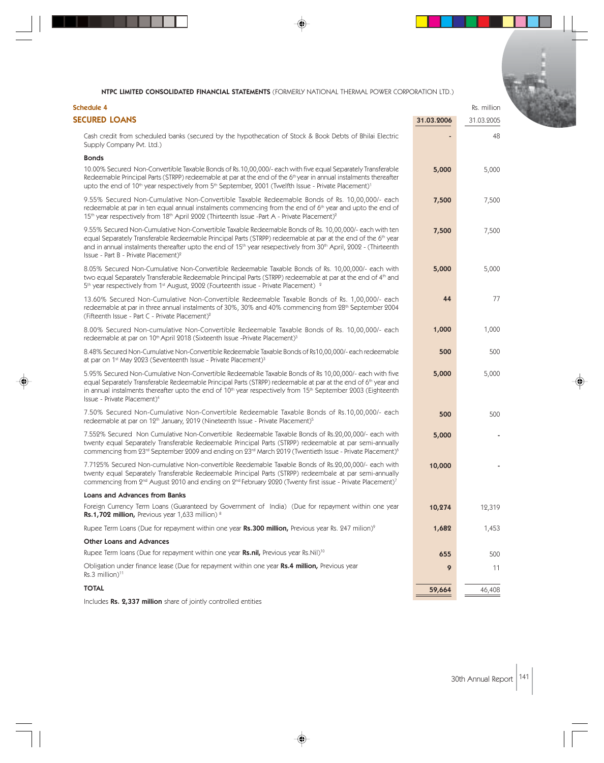◈

| <b>Schedule 4</b>                                                                                                                                                                                                                                                                                                                                                                                                                   |            | Rs. million |  |
|-------------------------------------------------------------------------------------------------------------------------------------------------------------------------------------------------------------------------------------------------------------------------------------------------------------------------------------------------------------------------------------------------------------------------------------|------------|-------------|--|
| <b>SECURED LOANS</b>                                                                                                                                                                                                                                                                                                                                                                                                                | 31.03.2006 | 31.03.2005  |  |
| Cash credit from scheduled banks (secured by the hypothecation of Stock & Book Debts of Bhilai Electric<br>Supply Company Pvt. Ltd.)                                                                                                                                                                                                                                                                                                |            | 48          |  |
| <b>Bonds</b>                                                                                                                                                                                                                                                                                                                                                                                                                        |            |             |  |
| 10.00% Secured Non-Convertible Taxable Bonds of Rs.10,00,000/- each with five equal Separately Transferable<br>Redeemable Principal Parts (STRPP) redeemable at par at the end of the 6 <sup>th</sup> year in annual instalments thereafter<br>upto the end of $10^{th}$ year respectively from $5^{th}$ September, 2001 (Twelfth Issue - Private Placement) <sup>1</sup>                                                           | 5,000      | 5,000       |  |
| 9.55% Secured Non-Cumulative Non-Convertible Taxable Redeemable Bonds of Rs. 10,00,000/- each<br>redeemable at par in ten equal annual instalments commencing from the end of 6 <sup>th</sup> year and upto the end of<br>15 <sup>th</sup> year respectively from 18 <sup>th</sup> April 2002 (Thirteenth Issue -Part A - Private Placement) <sup>2</sup>                                                                           | 7,500      | 7,500       |  |
| 9.55% Secured Non-Cumulative Non-Convertible Taxable Redeemable Bonds of Rs. 10,00,000/- each with ten<br>equal Separately Transferable Redeemable Principal Parts (STRPP) redeemable at par at the end of the 6 <sup>th</sup> year<br>and in annual instalments thereafter upto the end of 15 <sup>th</sup> year resepectively from 30 <sup>th</sup> April, 2002 - (Thirteenth<br>Issue - Part B - Private Placement) <sup>2</sup> | 7,500      | 7,500       |  |
| 8.05% Secured Non-Cumulative Non-Convertible Redeemable Taxable Bonds of Rs. 10,00,000/- each with<br>two equal Separately Transferable Redeemable Principal Parts (STRPP) redeemable at par at the end of 4 <sup>th</sup> and<br>5 <sup>th</sup> year respectively from 1 <sup>st</sup> August, 2002 (Fourteenth issue - Private Placement) <sup>2</sup>                                                                           | 5,000      | 5,000       |  |
| 13.60% Secured Non-Cumulative Non-Convertible Redeemable Taxable Bonds of Rs. 1,00,000/- each<br>redeemable at par in three annual instalments of 30%, 30% and 40% commencing from 28th September 2004<br>(Fifteenth Issue - Part C - Private Placement) <sup>2</sup>                                                                                                                                                               | 44         | 77          |  |
| 8.00% Secured Non-cumulative Non-Convertible Redeemable Taxable Bonds of Rs. 10,00,000/- each<br>redeemable at par on 10 <sup>th</sup> April 2018 (Sixteenth Issue -Private Placement) <sup>3</sup>                                                                                                                                                                                                                                 | 1,000      | 1,000       |  |
| 8.48% Secured Non-Cumulative Non-Convertible Redeemable Taxable Bonds of Rs10,00,000/- each redeemable<br>at par on 1 <sup>st</sup> May 2023 (Seventeenth Issue - Private Placement) <sup>3</sup>                                                                                                                                                                                                                                   | 500        | 500         |  |
| 5.95% Secured Non-Cumulative Non-Convertible Redeemable Taxable Bonds of Rs 10,00,000/- each with five<br>equal Separately Transferable Redeemable Principal Parts (STRPP) redeemable at par at the end of 6th year and<br>in annual instalments thereafter upto the end of $10th$ year respectively from $15th$ September 2003 (Eighteenth<br>Issue - Private Placement) <sup>4</sup>                                              | 5,000      | 5,000       |  |
| 7.50% Secured Non-Cumulative Non-Convertible Redeemable Taxable Bonds of Rs.10,00,000/- each<br>redeemable at par on 12 <sup>th</sup> January, 2019 (Nineteenth Issue - Private Placement) <sup>5</sup>                                                                                                                                                                                                                             | 500        | 500         |  |
| 7.552% Secured Non Cumulative Non-Convertible Redeemable Taxable Bonds of Rs.20,00,000/- each with<br>twenty equal Separately Transferable Redeemable Principal Parts (STRPP) redeemable at par semi-annually<br>commencing from 23rd September 2009 and ending on 23rd March 2019 (Twentieth Issue - Private Placement) <sup>6</sup>                                                                                               | 5,000      |             |  |
| 7.7125% Secured Non-cumulative Non-convertible Reedemable Taxable Bonds of Rs.20,00,000/- each with<br>twenty equal Separately Transferable Redeemable Principal Parts (STRPP) redeembale at par semi-annually<br>commencing from 2 <sup>nd</sup> August 2010 and ending on 2 <sup>nd</sup> February 2020 (Twenty first issue - Private Placement) <sup>7</sup>                                                                     | 10,000     |             |  |
| Loans and Advances from Banks                                                                                                                                                                                                                                                                                                                                                                                                       |            |             |  |
| Foreign Currency Term Loans (Guaranteed by Government of India) (Due for repayment within one year<br>Rs.1,702 million, Previous year 1,633 million) 8                                                                                                                                                                                                                                                                              | 10,274     | 12,319      |  |
| Rupee Term Loans (Due for repayment within one year Rs.300 million, Previous year Rs. 247 milion) <sup>9</sup>                                                                                                                                                                                                                                                                                                                      | 1,682      | 1,453       |  |
| <b>Other Loans and Advances</b>                                                                                                                                                                                                                                                                                                                                                                                                     |            |             |  |
| Rupee Term loans (Due for repayment within one year Rs.nil, Previous year Rs.Nil) <sup>10</sup>                                                                                                                                                                                                                                                                                                                                     | 655        | 500         |  |
| Obligation under finance lease (Due for repayment within one year Rs.4 million, Previous year<br>$Rs.3$ million) <sup>11</sup>                                                                                                                                                                                                                                                                                                      | 9          | 11          |  |
| <b>TOTAL</b>                                                                                                                                                                                                                                                                                                                                                                                                                        | 59,664     | 46,408      |  |

♦

Includes Rs. 2,337 million share of jointly controlled entities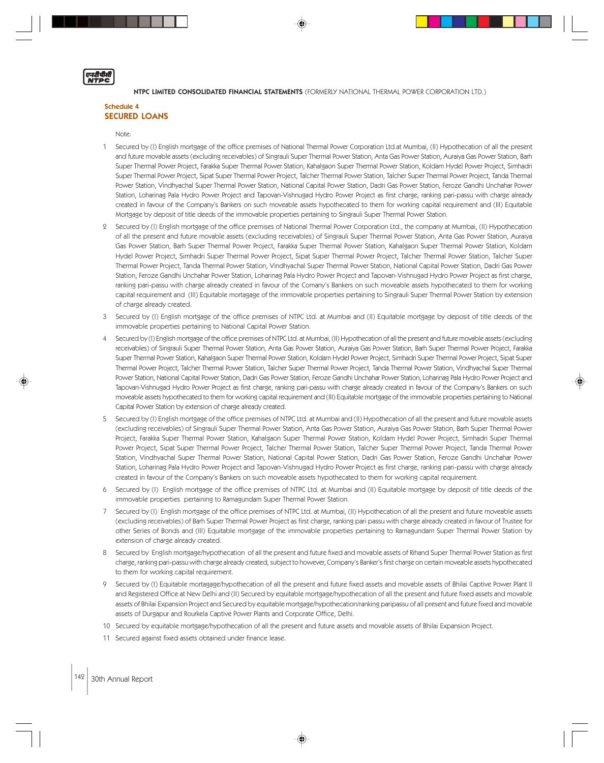## Schedule 4 SECURED LOANS

Note:

एनटीपीती<br>NTDC

- 1 Secured by (I) English mortgage of the office premises of National Thermal Power Corporation Ltd.at Mumbai, (II) Hypothecation of all the present and future movable assets (excluding receivables) of Singrauli Super Thermal Power Station, Anta Gas Power Station, Auraiya Gas Power Station, Barh Super Thermal Power Project, Farakka Super Thermal Power Station, Kahalgaon Super Thermal Power Station, Koldam Hydel Power Project, Simhadri Super Thermal Power Project, Sipat Super Thermal Power Project, Talcher Thermal Power Station, Talcher Super Thermal Power Project, Tanda Thermal Power Station, Vindhyachal Super Thermal Power Station, National Capital Power Station, Dadri Gas Power Station, Feroze Gandhi Unchahar Power Station, Loharinag Pala Hydro Power Project and Tapovan-Vishnugad Hydro Power Project as first charge, ranking pari-passu with charge already created in favour of the Company's Bankers on such moveable assets hypothecated to them for working capital requirement and (III) Equitable Mortgage by deposit of title deeds of the immovable properties pertaining to Singrauli Super Thermal Power Station.
- 2 Secured by (I) English mortgage of the office premises of National Thermal Power Corporation Ltd., the company at Mumbai, (II) Hypothecation of all the present and future movable assets (excluding receivables) of Singrauli Super Thermal Power Station, Anta Gas Power Station, Auraiya Gas Power Station, Barh Super Thermal Power Project, Farakka Super Thermal Power Station, Kahalgaon Super Thermal Power Station, Koldam Hydel Power Project, Simhadri Super Thermal Power Project, Sipat Super Thermal Power Project, Talcher Thermal Power Station, Talcher Super Thermal Power Project, Tanda Thermal Power Station, Vindhyachal Super Thermal Power Station, National Capital Power Station, Dadri Gas Power Station, Feroze Gandhi Unchahar Power Station, Loharinag Pala Hydro Power Project and Tapovan-Vishnugad Hydro Power Project as first charge, ranking pari-passu with charge already created in favour of the Comany's Bankers on such moveable assets hypothecated to them for working capital requirement and (III) Equitable mortagage of the immovable properties pertaining to Singrauli Super Thermal Power Station by extension of charge already created.
- 3 Secured by (I) English mortgage of the office premises of NTPC Ltd. at Mumbai and (II) Equitable mortgage by deposit of title deeds of the immovable properties pertaining to National Capital Power Station.
- 4 Secured by (I) English mortgage of the office premises of NTPC Ltd. at Mumbai, (II) Hypothecation of all the present and future movable assets (excluding receivables) of Singrauli Super Thermal Power Station, Anta Gas Power Station, Auraiya Gas Power Station, Barh Super Thermal Power Project, Farakka Super Thermal Power Station, Kahalgaon Super Thermal Power Station, Koldam Hydel Power Project, Simhadri Super Thermal Power Project, Sipat Super Thermal Power Project, Talcher Thermal Power Station, Talcher Super Thermal Power Project, Tanda Thermal Power Station, Vindhyachal Super Thermal Power Station, National Capital Power Station, Dadri Gas Power Station, Feroze Gandhi Unchahar Power Station, Loharinag Pala Hydro Power Project and Tapovan-Vishnugad Hydro Power Project as first charge, ranking pari-passu with charge already created in favour of the Company's Bankers on such moveable assets hypothecated to them for working capital requirement and (III) Equitable mortgage of the immovable properties pertaining to National Capital Power Station by extension of charge already created.
- 5 Secured by (I) English mortgage of the office premises of NTPC Ltd. at Mumbai and (II) Hypothecation of all the present and future movable assets (excluding receivables) of Singrauli Super Thermal Power Station, Anta Gas Power Station, Auraiya Gas Power Station, Barh Super Thermal Power Project, Farakka Super Thermal Power Station, Kahalgaon Super Thermal Power Station, Koldam Hydel Power Project, Simhadri Super Thermal Power Project, Sipat Super Thermal Power Project, Talcher Thermal Power Station, Talcher Super Thermal Power Project, Tanda Thermal Power Station, Vindhyachal Super Thermal Power Station, National Capital Power Station, Dadri Gas Power Station, Feroze Gandhi Unchahar Power Station, Loharinag Pala Hydro Power Project and Tapovan-Vishnugad Hydro Power Project as first charge, ranking pari-passu with charge already created in favour of the Company's Bankers on such moveable assets hypothecated to them for working capital requirement.
- 6 Secured by (I) English mortgage of the office premises of NTPC Ltd. at Mumbai and (II) Equitable mortgage by deposit of title deeds of the immovable properties pertaining to Ramagundam Super Thermal Power Station.
- 7 Secured by (I) English mortgage of the office premises of NTPC Ltd. at Mumbai, (II) Hypothecation of all the present and future moveable assets (excluding receivables) of Barh Super Thermal Power Project as first charge, ranking pari passu with charge already created in favour of Trustee for other Series of Bonds and (III) Equitable mortgage of the immovable properties pertaining to Ramagundam Super Thermal Power Station by extension of charge already created.
- 8 Secured by English mortgage/hypothecation of all the present and future fixed and movable assets of Rihand Super Thermal Power Station as first charge, ranking pari-passu with charge already created, subject to however, Company's Banker's first charge on certain moveable assets hypothecated to them for working capital requirement.
- 9 Secured by (I) Equitable mortagage/hypothecation of all the present and future fixed assets and movable assets of Bhilai Captive Power Plant II and Registered Office at New Delhi and (II) Secured by equitable mortgage/hypothecation of all the present and future fixed assets and movable assets of Bhilai Expansion Project and Secured by equitable mortgage/hypothecation/ranking paripassu of all present and future fixed and movable assets of Durgapur and Rourkela Captive Power Plants and Corporate Office, Delhi.
- 10 Secured by equitable mortgage/hypothecation of all the present and future assets and movable assets of Bhilai Expansion Project.
- 11 Secured against fixed assets obtained under finance lease.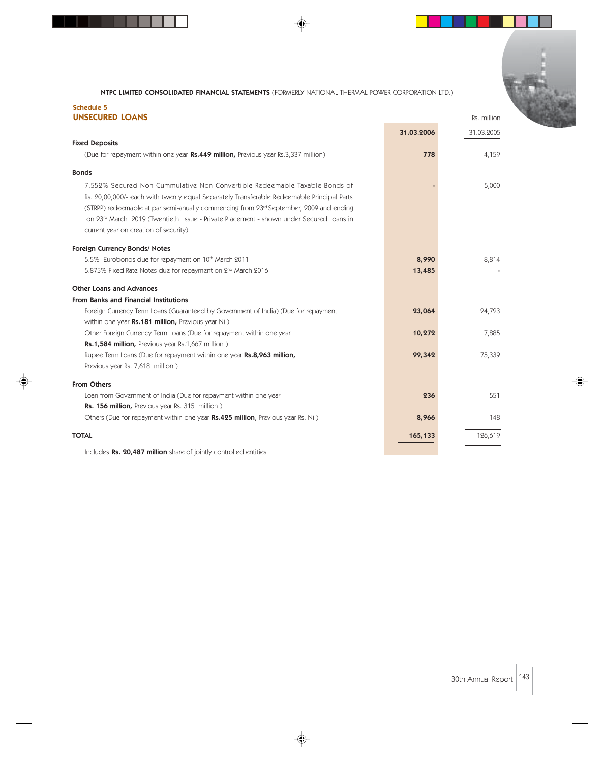# Schedule 5 **UNSECURED LOANS** Rs. million

|                                                                                                    | 31.03.2006 | 31.03.2005 |
|----------------------------------------------------------------------------------------------------|------------|------------|
| <b>Fixed Deposits</b>                                                                              |            |            |
| (Due for repayment within one year Rs.449 million, Previous year Rs.3,337 million)                 | 778        | 4,159      |
| <b>Bonds</b>                                                                                       |            |            |
| 7.552% Secured Non-Cummulative Non-Convertible Redeemable Taxable Bonds of                         |            | 5,000      |
| Rs. 20,00,000/- each with twenty equal Separately Transferable Redeemable Principal Parts          |            |            |
| (STRPP) redeemable at par semi-anually commencing from 23rd September, 2009 and ending             |            |            |
| on 23 <sup>rd</sup> March 2019 (Twentieth Issue - Private Placement - shown under Secured Loans in |            |            |
| current year on creation of security)                                                              |            |            |
| Foreign Currency Bonds/ Notes                                                                      |            |            |
| 5.5% Eurobonds due for repayment on 10th March 2011                                                | 8,990      | 8,814      |
| 5.875% Fixed Rate Notes due for repayment on 2 <sup>nd</sup> March 2016                            | 13,485     |            |
| <b>Other Loans and Advances</b>                                                                    |            |            |
| <b>From Banks and Financial Institutions</b>                                                       |            |            |
| Foreign Currency Term Loans (Guaranteed by Government of India) (Due for repayment                 | 23,064     | 24,723     |
| within one year Rs.181 million, Previous year Nil)                                                 |            |            |
| Other Foreign Currency Term Loans (Due for repayment within one year                               | 10,272     | 7,885      |
| Rs.1,584 million, Previous year Rs.1,667 million)                                                  |            |            |
| Rupee Term Loans (Due for repayment within one year Rs.8,963 million,                              | 99,342     | 75,339     |
| Previous year Rs. 7,618 million)                                                                   |            |            |
| <b>From Others</b>                                                                                 |            |            |
| Loan from Government of India (Due for repayment within one year                                   | 236        | 551        |
| Rs. 156 million, Previous year Rs. 315 million)                                                    |            |            |
| Others (Due for repayment within one year Rs.425 million, Previous year Rs. Nil)                   | 8,966      | 148        |
| <b>TOTAL</b>                                                                                       | 165,133    | 126,619    |

⊕

Includes Rs. 20,487 million share of jointly controlled entities

30th Annual Report 143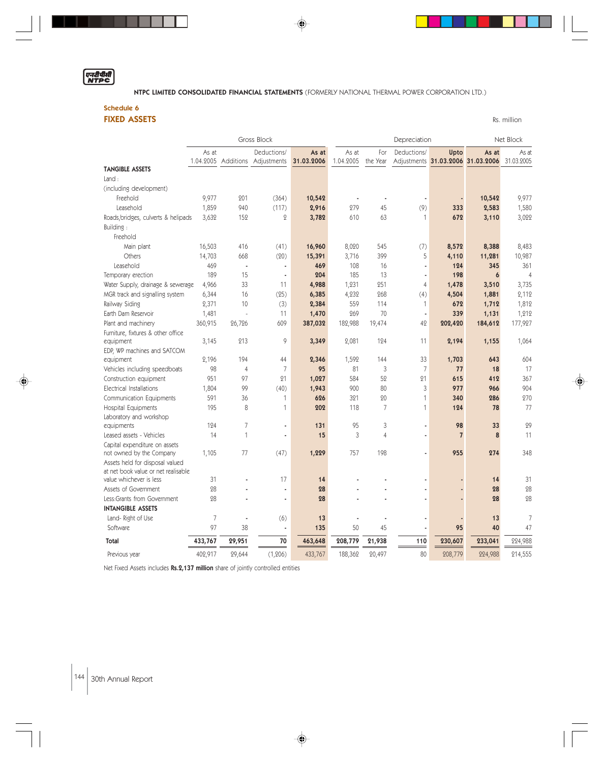# एनदीपीती

NTPC LIMITED CONSOLIDATED FINANCIAL STATEMENTS (FORMERLY NATIONAL THERMAL POWER CORPORATION LTD.)

◈

Schedule 6

FIXED ASSETS Rs. million

|                                                                        |                    |                | Gross Block                |                     | Depreciation       |                 |                | Net Block      |                                            |                     |
|------------------------------------------------------------------------|--------------------|----------------|----------------------------|---------------------|--------------------|-----------------|----------------|----------------|--------------------------------------------|---------------------|
|                                                                        | As at<br>1.04.2005 | Additions      | Deductions/<br>Adjustments | As at<br>31.03.2006 | As at<br>1.04.2005 | For<br>the Year | Deductions/    | Upto           | As at<br>Adjustments 31.03.2006 31.03.2006 | As at<br>31.03.2005 |
| <b>TANGIBLE ASSETS</b>                                                 |                    |                |                            |                     |                    |                 |                |                |                                            |                     |
| Land:                                                                  |                    |                |                            |                     |                    |                 |                |                |                                            |                     |
| (including development)                                                |                    |                |                            |                     |                    |                 |                |                |                                            |                     |
| Freehold                                                               | 9,977              | 201            | (364)                      | 10,542              | ä,                 | ×,              |                | ÷,             | 10,542                                     | 9,977               |
| Leasehold                                                              | 1,859              | 940            | (117)                      | 2,916               | 279                | 45              | (9)            | 333            | 2,583                                      | 1,580               |
| Roads, bridges, culverts & helipads                                    | 3,632              | 152            | $\overline{Q}$             | 3,782               | 610                | 63              | 1              | 672            | 3,110                                      | 3,022               |
| Building:                                                              |                    |                |                            |                     |                    |                 |                |                |                                            |                     |
| Freehold                                                               |                    |                |                            |                     |                    |                 |                |                |                                            |                     |
| Main plant                                                             | 16,503             | 416            | (41)                       | 16,960              | 8,020              | 545             | (7)            | 8,572          | 8,388                                      | 8,483               |
| Others                                                                 | 14,703             | 668            | (20)                       | 15,391              | 3,716              | 399             | 5              | 4,110          | 11,281                                     | 10,987              |
| Leasehold                                                              | 469                | ×,             | ä,                         | 469                 | 108                | 16              | ×,             | 124            | 345                                        | 361                 |
| Temporary erection                                                     | 189                | 15             | ÷.                         | 204                 | 185                | 13              | ٠              | 198            | 6                                          | $\overline{4}$      |
| Water Supply, drainage & sewerage                                      | 4,966              | 33             | 11                         | 4,988               | 1,231              | 251             | 4              | 1,478          | 3,510                                      | 3,735               |
| MGR track and signalling system                                        | 6,344              | 16             | (25)                       | 6,385               | 4,232              | 268             | (4)            | 4,504          | 1,881                                      | 2,112               |
| Railway Siding                                                         | 2,371              | 10             | (3)                        | 2,384               | 559                | 114             | 1              | 672            | 1,712                                      | 1,812               |
| Earth Dam Reservoir                                                    | 1,481              | $\overline{a}$ | 11                         | 1,470               | 269                | 70              | ä,             | 339            | 1,131                                      | 1,212               |
| Plant and machinery                                                    | 360,915            | 26,726         | 609                        | 387,032             | 182,988            | 19,474          | 42             | 202,420        | 184,612                                    | 177,927             |
| Furniture, fixtures & other office                                     |                    |                |                            |                     |                    |                 |                |                |                                            |                     |
| equipment                                                              | 3,145              | 213            | 9                          | 3,349               | 2,081              | 124             | 11             | 2,194          | 1,155                                      | 1,064               |
| EDP, WP machines and SATCOM                                            |                    |                |                            |                     |                    |                 |                |                |                                            |                     |
| equipment                                                              | 2,196              | 194            | 44                         | 2,346               | 1,592              | 144             | 33             | 1,703          | 643                                        | 604                 |
| Vehicles including speedboats                                          | 98                 | $\overline{4}$ | 7                          | 95                  | 81                 | 3               | $\overline{7}$ | 77             | 18                                         | 17                  |
| Construction equipment                                                 | 951                | 97             | 21                         | 1,027               | 584                | 52              | 21             | 615            | 412                                        | 367                 |
| <b>Electrical Installations</b>                                        | 1,804              | 99             | (40)                       | 1,943               | 900                | 80              | 3              | 977            | 966                                        | 904                 |
| Communication Equipments                                               | 591                | 36             | 1                          | 626                 | 321                | 20              | $\mathbf{1}$   | 340            | 286                                        | 270                 |
| Hospital Equipments                                                    | 195                | 8              | 1                          | 202                 | 118                | $\overline{7}$  | $\mathbf{1}$   | 124            | 78                                         | 77                  |
| Laboratory and workshop                                                |                    |                |                            |                     |                    |                 |                |                |                                            |                     |
| equipments                                                             | 124                | 7              | ä,                         | 131                 | 95                 | 3               | ä,             | 98             | 33                                         | 29                  |
| Leased assets - Vehicles                                               | 14                 | 1              | ä,                         | 15                  | 3                  | $\overline{4}$  | ä,             | $\overline{7}$ | 8                                          | 11                  |
| Capital expenditure on assets                                          |                    |                |                            |                     |                    |                 |                |                |                                            |                     |
| not owned by the Company                                               | 1,105              | 77             | (47)                       | 1,229               | 757                | 198             | ä,             | 955            | 274                                        | 348                 |
| Assets held for disposal valued<br>at net book value or net realisable |                    |                |                            |                     |                    |                 |                |                |                                            |                     |
| value whichever is less                                                | 31                 |                | 17                         | 14                  |                    |                 |                |                | 14                                         | 31                  |
| Assets of Government                                                   | 28                 |                | ä,                         | 28                  |                    |                 |                | ÷              | 28                                         | 28                  |
| Less:Grants from Government                                            | 28                 |                | ÷                          | 28                  |                    |                 | ä,             | ä,             | 28                                         | 28                  |
| <b>INTANGIBLE ASSETS</b>                                               |                    |                |                            |                     |                    |                 |                |                |                                            |                     |
| Land-Right of Use                                                      | $\overline{7}$     | ÷,             | (6)                        | 13                  |                    |                 |                |                | 13                                         | 7                   |
| Software                                                               | 97                 | 38             | ä,                         | 135                 | 50                 | 45              |                | 95             | 40                                         | 47                  |
| <b>Total</b>                                                           | 433,767            | 29,951         | 70                         | 463,648             | 208,779            | 21,938          | 110            | 230,607        | 233,041                                    | 224,988             |
| Previous year                                                          | 402,917            | 29,644         | (1, 206)                   | 433,767             | 188,362            | 20,497          | 80             | 208,779        | 224,988                                    | 214,555             |

♦

Net Fixed Assets includes Rs.2,137 million share of jointly controlled entities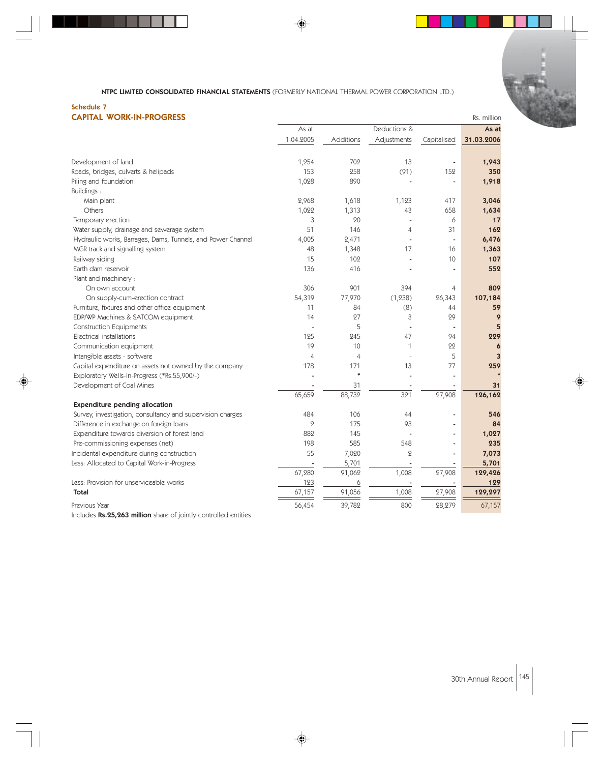♦

# Schedule 7

| <b>CAPITAL WORK-IN-PROGRESS</b> | Rs. million |
|---------------------------------|-------------|
|---------------------------------|-------------|

|                                                             | As at          |           | Deductions &             |             | As at      |
|-------------------------------------------------------------|----------------|-----------|--------------------------|-------------|------------|
|                                                             | 1.04.2005      | Additions | Adjustments              | Capitalised | 31.03.2006 |
|                                                             |                |           |                          |             |            |
| Development of land                                         | 1,254          | 702       | 13                       |             | 1,943      |
| Roads, bridges, culverts & helipads                         | 153            | 258       | (91)                     | 152         | 350        |
| Piling and foundation                                       | 1,028          | 890       |                          |             | 1,918      |
| <b>Buildings:</b>                                           |                |           |                          |             |            |
| Main plant                                                  | 2,968          | 1,618     | 1,123                    | 417         | 3,046      |
| Others                                                      | 1,022          | 1,313     | 43                       | 658         | 1,634      |
| Temporary erection                                          | 3              | 20        | $\overline{\phantom{a}}$ | 6           | 17         |
| Water supply, drainage and sewerage system                  | 51             | 146       | $\overline{4}$           | 31          | 162        |
| Hydraulic works, Barrages, Dams, Tunnels, and Power Channel | 4,005          | 2,471     |                          |             | 6,476      |
| MGR track and signalling system                             | 48             | 1,348     | 17                       | 16          | 1,363      |
| Railway siding                                              | 15             | 102       |                          | 10          | 107        |
| Earth dam reservoir                                         | 136            | 416       |                          |             | 552        |
| Plant and machinery :                                       |                |           |                          |             |            |
| On own account                                              | 306            | 901       | 394                      | 4           | 809        |
| On supply-cum-erection contract                             | 54,319         | 77,970    | (1, 238)                 | 26,343      | 107,184    |
| Furniture, fixtures and other office equipment              | 11             | 84        | (8)                      | 44          | 59         |
| EDP/WP Machines & SATCOM equipment                          | 14             | 27        | 3                        | 29          | 9          |
| <b>Construction Equipments</b>                              |                | 5         |                          |             | 5          |
| Electrical installations                                    | 125            | 245       | 47                       | 94          | 229        |
| Communication equipment                                     | 19             | 10        | 1                        | 22          | 6          |
| Intangible assets - software                                | $\overline{4}$ | 4         |                          | 5           | 3          |
| Capital expenditure on assets not owned by the company      | 178            | 171       | 13                       | 77          | 259        |
| Exploratory Wells-In-Progress (*Rs.55,900/-)                |                | $\ast$    |                          |             |            |
| Development of Coal Mines                                   |                | 31        |                          |             | 31         |
|                                                             | 65,659         | 88,732    | 321                      | 27,908      | 126,162    |
| <b>Expenditure pending allocation</b>                       |                |           |                          |             |            |
| Survey, investigation, consultancy and supervision charges  | 484            | 106       | 44                       |             | 546        |
| Difference in exchange on foreign loans                     | $\mathcal{Q}$  | 175       | 93                       |             | 84         |
| Expenditure towards diversion of forest land                | 882            | 145       |                          |             | 1,027      |
| Pre-commissioning expenses (net)                            | 198            | 585       | 548                      |             | 235        |
| Incidental expenditure during construction                  | 55             | 7,020     | $\overline{2}$           | ٠           | 7,073      |
| Less: Allocated to Capital Work-in-Progress                 |                | 5,701     |                          | ٠           | 5,701      |
|                                                             | 67,280         | 91,062    | 1,008                    | 27,908      | 129,426    |
| Less: Provision for unserviceable works                     | 123            | 6         |                          |             | 129        |
| Total                                                       | 67,157         | 91,056    | 1,008                    | 27,908      | 129,297    |
| Previous Year                                               | 56,454         | 39,782    | 800                      | 28,279      | 67,157     |

◈

Includes Rs.25,263 million share of jointly controlled entities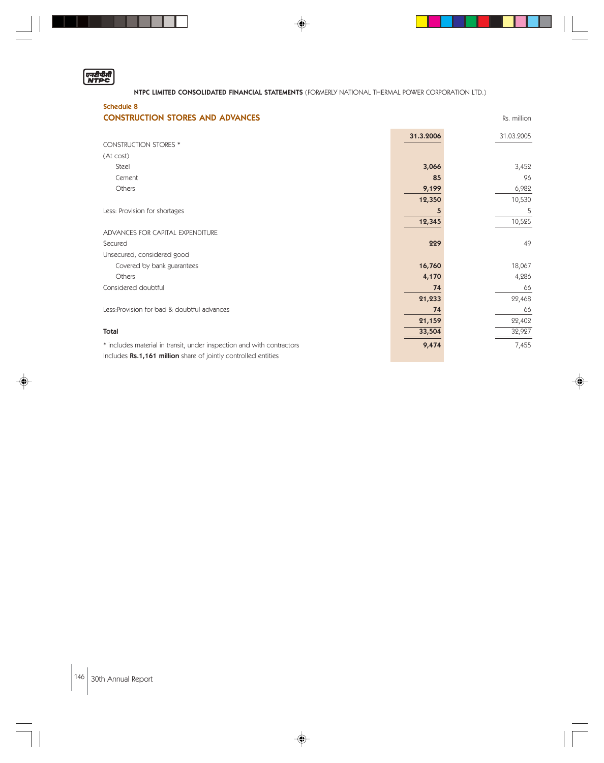

◈

. . .

NTPC LIMITED CONSOLIDATED FINANCIAL STATEMENTS (FORMERLY NATIONAL THERMAL POWER CORPORATION LTD.)

 $\color{red}\blacklozenge$ 

**THE RE** 

 $\begin{array}{c} \hline \end{array}$ 

 $\Box$ 

| <b>Schedule 8</b><br><b>CONSTRUCTION STORES AND ADVANCES</b>          |           | Rs. million |
|-----------------------------------------------------------------------|-----------|-------------|
|                                                                       | 31.3.2006 | 31.03.2005  |
| <b>CONSTRUCTION STORES *</b>                                          |           |             |
| (At cost)                                                             |           |             |
| Steel                                                                 | 3,066     | 3,452       |
| Cement                                                                | 85        | 96          |
| Others                                                                | 9,199     | 6,982       |
|                                                                       | 12,350    | 10,530      |
| Less: Provision for shortages                                         | 5         | 5           |
|                                                                       | 12,345    | 10,525      |
| ADVANCES FOR CAPITAL EXPENDITURE                                      |           |             |
| Secured                                                               | 229       | 49          |
| Unsecured, considered good                                            |           |             |
| Covered by bank guarantees                                            | 16,760    | 18,067      |
| Others                                                                | 4,170     | 4,286       |
| Considered doubtful                                                   | 74        | 66          |
|                                                                       | 21,233    | 22,468      |
| Less: Provision for bad & doubtful advances                           | 74        | 66          |
|                                                                       | 21,159    | 22,402      |
| <b>Total</b>                                                          | 33,504    | 32,927      |
| * includes material in transit, under inspection and with contractors | 9,474     | 7,455       |
| Includes Rs.1,161 million share of jointly controlled entities        |           |             |

 $\overline{\blacklozenge}$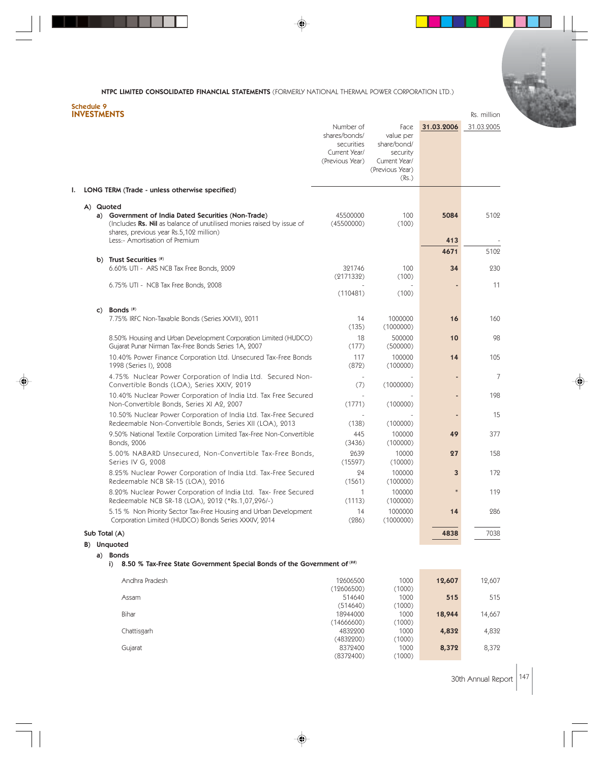◈

#### Schedule 9 INVESTMENTS Reserves that the contract of the contract of the contract of the contract of the contract of the contract of the contract of the contract of the contract of the contract of the contract of the contract of the

| ı. |               |                                                                                                                                                                                                          | Number of<br>shares/bonds/<br>securities<br>Current Year/<br>(Previous Year) | Face<br>value per<br>share/bond/<br>security<br>Current Year/<br>(Previous Year)<br>(Rs.) | 31.03.2006  | 31.03.2005 |
|----|---------------|----------------------------------------------------------------------------------------------------------------------------------------------------------------------------------------------------------|------------------------------------------------------------------------------|-------------------------------------------------------------------------------------------|-------------|------------|
|    |               | LONG TERM (Trade - unless otherwise specified)                                                                                                                                                           |                                                                              |                                                                                           |             |            |
|    | A) Quoted     | a) Government of India Dated Securities (Non-Trade)<br>(Includes Rs. Nil as balance of unutilised monies raised by issue of<br>shares, previous year Rs.5,102 million)<br>Less:- Amortisation of Premium | 45500000<br>(45500000)                                                       | 100<br>(100)                                                                              | 5084<br>413 | 5102       |
|    |               |                                                                                                                                                                                                          |                                                                              |                                                                                           | 4671        | 5102       |
|    |               | b) Trust Securities (#)                                                                                                                                                                                  |                                                                              |                                                                                           |             |            |
|    |               | 6.60% UTI - ARS NCB Tax Free Bonds, 2009                                                                                                                                                                 | 321746<br>(2171332)                                                          | 100<br>(100)                                                                              | 34          | 230        |
|    |               | 6.75% UTI - NCB Tax Free Bonds, 2008                                                                                                                                                                     | (110481)                                                                     | (100)                                                                                     |             | 11         |
|    | C)            | Bonds $($ #)                                                                                                                                                                                             |                                                                              |                                                                                           |             |            |
|    |               | 7.75% IRFC Non-Taxable Bonds (Series XXVII), 2011                                                                                                                                                        | 14<br>(135)                                                                  | 1000000<br>(1000000)                                                                      | 16          | 160        |
|    |               | 8.50% Housing and Urban Development Corporation Limited (HUDCO)<br>Gujarat Punar Nirman Tax-Free Bonds Series 1A, 2007                                                                                   | 18<br>(177)                                                                  | 500000<br>(500000)                                                                        | 10          | 98         |
|    |               | 10.40% Power Finance Corporation Ltd. Unsecured Tax-Free Bonds<br>1998 (Series I), 2008                                                                                                                  | 117<br>(872)                                                                 | 100000<br>(100000)                                                                        | 14          | 105        |
|    |               | 4.75% Nuclear Power Corporation of India Ltd. Secured Non-<br>Convertible Bonds (LOA), Series XXIV, 2019                                                                                                 | (7)                                                                          | (1000000)                                                                                 |             | 7          |
|    |               | 10.40% Nuclear Power Corporation of India Ltd. Tax Free Secured<br>Non-Convertible Bonds, Series XI A2, 2007                                                                                             | (1771)                                                                       | (100000)                                                                                  |             | 198        |
|    |               | 10.50% Nuclear Power Corporation of India Ltd. Tax-Free Secured<br>Redeemable Non-Convertible Bonds, Series XII (LOA), 2013                                                                              | (138)                                                                        | (100000)                                                                                  |             | 15         |
|    |               | 9.50% National Textile Corporation Limited Tax-Free Non-Convertible<br>Bonds, 2006                                                                                                                       | 445<br>(3436)                                                                | 100000<br>(100000)                                                                        | 49          | 377        |
|    |               | 5.00% NABARD Unsecured, Non-Convertible Tax-Free Bonds,<br>Series IV G, 2008                                                                                                                             | 2639<br>(15597)                                                              | 10000<br>(10000)                                                                          | 27          | 158        |
|    |               | 8.25% Nuclear Power Corporation of India Ltd. Tax-Free Secured<br>Redeemable NCB SR-15 (LOA), 2016                                                                                                       | 24<br>(1561)                                                                 | 100000<br>(100000)                                                                        | 3           | 172        |
|    |               | 8.20% Nuclear Power Corporation of India Ltd. Tax- Free Secured<br>Redeemable NCB SR-18 (LOA), 2012 (*Rs.1,07,296/-)                                                                                     | 1<br>(1113)                                                                  | 100000<br>(100000)                                                                        | $\ast$      | 119        |
|    |               | 5.15 % Non Priority Sector Tax-Free Housing and Urban Development<br>Corporation Limited (HUDCO) Bonds Series XXXIV, 2014                                                                                | 14<br>(286)                                                                  | 1000000<br>(1000000)                                                                      | 14          | 286        |
|    | Sub Total (A) |                                                                                                                                                                                                          |                                                                              |                                                                                           | 4838        | 7038       |
|    |               | B) Unquoted<br>a) Bonds                                                                                                                                                                                  |                                                                              |                                                                                           |             |            |
|    |               | 8.50 % Tax-Free State Government Special Bonds of the Government of $(***)$<br>i)                                                                                                                        |                                                                              |                                                                                           |             |            |
|    |               | Andhra Pradesh                                                                                                                                                                                           | 12606500<br>(12606500)                                                       | 1000<br>(1000)                                                                            | 12,607      | 12,607     |
|    |               | Assam                                                                                                                                                                                                    | 514640<br>(514640)                                                           | 1000<br>(1000)                                                                            | 515         | 515        |
|    |               | Bihar                                                                                                                                                                                                    | 18944000<br>(14666600)                                                       | 1000<br>(1000)                                                                            | 18,944      | 14,667     |
|    |               | Chattisgarh                                                                                                                                                                                              | 4832200<br>(4832200)                                                         | 1000<br>(1000)                                                                            | 4,832       | 4,832      |
|    |               | Gujarat                                                                                                                                                                                                  | 8372400<br>(8372400)                                                         | 1000<br>(1000)                                                                            | 8,372       | 8,372      |

♦

30th Annual Report 147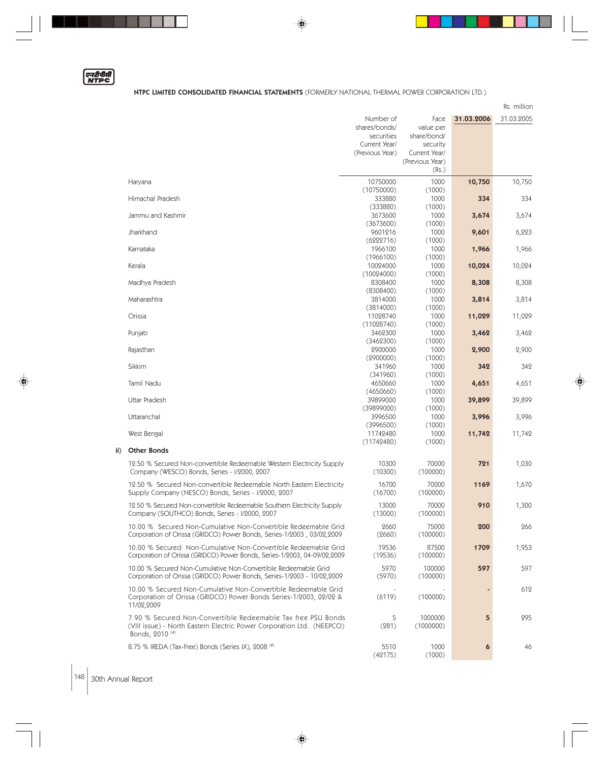|--|

◈

 $\vert \vert$ 

<u>a sa san</u>

|                                                                          |                 |                 |            | Rs. million |
|--------------------------------------------------------------------------|-----------------|-----------------|------------|-------------|
|                                                                          | Number of       | Face            | 31.03.2006 | 31.03.2005  |
|                                                                          | shares/bonds/   | value per       |            |             |
|                                                                          | securities      | share/bond/     |            |             |
|                                                                          | Current Year/   | security        |            |             |
|                                                                          | (Previous Year) | Current Year/   |            |             |
|                                                                          |                 | (Previous Year) |            |             |
|                                                                          |                 | (Rs.)           |            |             |
|                                                                          |                 |                 |            |             |
| Haryana                                                                  | 10750000        | 1000            | 10,750     | 10,750      |
|                                                                          | (10750000)      | (1000)          |            |             |
| Himachal Pradesh                                                         | 333880          | 1000            | 334        | 334         |
|                                                                          | (333880)        | (1000)          |            |             |
| Jammu and Kashmir                                                        | 3673600         | 1000            | 3,674      | 3,674       |
|                                                                          | (3673600)       | (1000)          |            |             |
| Jharkhand                                                                | 9601216         | 1000            | 9,601      | 6,223       |
|                                                                          | (6222716)       | (1000)          |            |             |
| Karnataka                                                                | 1966100         | 1000            | 1,966      | 1,966       |
|                                                                          | (1966100)       | (1000)          |            |             |
| Kerala                                                                   | 10024000        | 1000            | 10,024     | 10,024      |
|                                                                          | (10024000)      | (1000)          |            |             |
| Madhya Pradesh                                                           | 8308400         | 1000            | 8,308      | 8,308       |
|                                                                          | (8308400)       | (1000)          |            |             |
| Maharashtra                                                              | 3814000         | 1000            | 3,814      | 3,814       |
|                                                                          | (3814000)       | (1000)          |            |             |
| Orissa                                                                   | 11028740        | 1000            | 11,029     | 11,029      |
|                                                                          | (11028740)      | (1000)          |            |             |
| Punjab                                                                   | 3462300         | 1000            | 3,462      | 3,462       |
|                                                                          | (3462300)       | (1000)          |            |             |
| Rajasthan                                                                | 2900000         | 1000            | 2,900      | 2,900       |
|                                                                          | (2900000)       | (1000)          |            |             |
| Sikkim                                                                   | 341960          | 1000            | 342        | 342         |
|                                                                          | (341960)        | (1000)          |            |             |
| Tamil Nadu                                                               | 4650660         | 1000            | 4,651      | 4,651       |
|                                                                          | (4650660)       | (1000)          |            |             |
| <b>Uttar Pradesh</b>                                                     | 39899000        | 1000            | 39,899     | 39,899      |
|                                                                          | (39899000)      | (1000)          |            |             |
| Uttaranchal                                                              | 3996500         | 1000            | 3,996      | 3,996       |
|                                                                          | (3996500)       | (1000)          |            |             |
| West Bengal                                                              | 11742480        | 1000            | 11,742     | 11,742      |
|                                                                          | (11742480)      | (1000)          |            |             |
| <b>Other Bonds</b>                                                       |                 |                 |            |             |
| 12.50 % Secured Non-convertible Redeemable Western Electricity Supply    | 10300           | 70000           | 721        | 1,030       |
| Company (WESCO) Bonds, Series - I/2000, 2007                             | (10300)         | (100000)        |            |             |
|                                                                          |                 |                 |            |             |
| 12.50 % Secured Non-convertible Redeemable North Eastern Electricity     | 16700           | 70000           | 1169       | 1,670       |
| Supply Company (NESCO) Bonds, Series - I/2000, 2007                      | (16700)         | (100000)        |            |             |
| 12.50 % Secured Non-convertible Redeemable Southern Electricity Supply   | 13000           | 70000           | 910        | 1,300       |
| Company (SOUTHCO) Bonds, Series - I/2000, 2007                           | (13000)         | (100000)        |            |             |
|                                                                          |                 |                 |            |             |
| 10.00 % Secured Non-Cumulative Non-Convertible Redeemable Grid           | 2660            | 75000           | 200        | 266         |
| Corporation of Orissa (GRIDCO) Power Bonds, Series-1/2003, 03/02,2009    | (2660)          | (100000)        |            |             |
| 10.00 % Secured Non-Cumulative Non-Convertible Redeemable Grid           | 19536           | 87500           | 1709       | 1,953       |
| Corporation of Orissa (GRIDCO) Power Bonds, Series-1/2003, 04-09/02,2009 | (19536)         | (100000)        |            |             |
| 10.00 % Secured Non-Cumulative Non-Convertible Redeemable Grid           | 5970            | 100000          | 597        | 597         |
| Corporation of Orissa (GRIDCO) Power Bonds, Series-1/2003 - 10/02,2009   | (5970)          | (100000)        |            |             |
|                                                                          |                 |                 |            |             |
| 10.00 % Secured Non-Cumulative Non-Convertible Redeemable Grid           |                 |                 |            | 612         |
| Corporation of Orissa (GRIDCO) Power Bonds Series-1/2003, 02/02 &        | (6119)          | (100000)        |            |             |
| 11/02,2009                                                               |                 |                 |            |             |
| 7.90 % Secured Non-Convertible Redeemable Tax free PSU Bonds             | 5               | 1000000         | 5          | 295         |
| (VIII issue) - North Eastern Electric Power Corporation Ltd. (NEEPCO)    | (281)           | (1000000)       |            |             |
| Bonds, 2010 <sup>(#)</sup>                                               |                 |                 |            |             |
|                                                                          |                 |                 |            |             |
| 8.75 % IREDA (Tax-Free) Bonds (Series IX), 2008 (#)                      | 5510            | 1000            | 6          | 46          |
|                                                                          | (42175)         | (1000)          |            |             |

 $\overline{\blacklozenge}$ 

ii)

◈

 $|148|$  30th Annual Report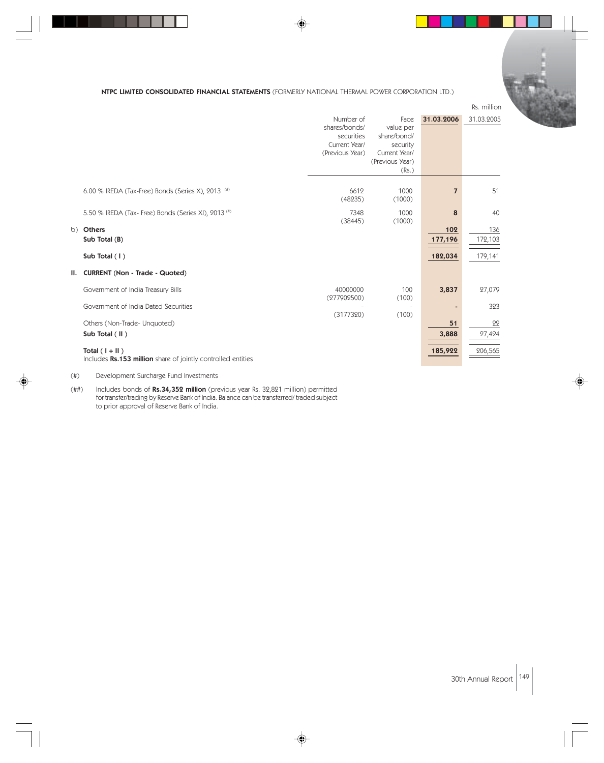|    |                                                                                  |                                                                              |                                                                                           |                | Rs. million |
|----|----------------------------------------------------------------------------------|------------------------------------------------------------------------------|-------------------------------------------------------------------------------------------|----------------|-------------|
|    |                                                                                  | Number of<br>shares/bonds/<br>securities<br>Current Year/<br>(Previous Year) | Face<br>value per<br>share/bond/<br>security<br>Current Year/<br>(Previous Year)<br>(Rs.) | 31.03.2006     | 31.03.2005  |
|    | 6.00 % IREDA (Tax-Free) Bonds (Series X), 2013 (#)                               | 6612<br>(48235)                                                              | 1000<br>(1000)                                                                            | $\overline{7}$ | 51          |
|    | 5.50 % IREDA (Tax- Free) Bonds (Series XI), 2013 (#)                             | 7348<br>(38445)                                                              | 1000<br>(1000)                                                                            | 8              | 40          |
| b) | <b>Others</b>                                                                    |                                                                              |                                                                                           | 102            | 136         |
|    | Sub Total (B)                                                                    |                                                                              |                                                                                           | 177,196        | 172,103     |
|    | Sub Total (1)                                                                    |                                                                              |                                                                                           | 182,034        | 179,141     |
|    | II. CURRENT (Non - Trade - Quoted)                                               |                                                                              |                                                                                           |                |             |
|    | Government of India Treasury Bills                                               | 40000000<br>(277902500)                                                      | 100<br>(100)                                                                              | 3,837          | 27,079      |
|    | Government of India Dated Securities                                             | (3177320)                                                                    | (100)                                                                                     |                | 323         |
|    | Others (Non-Trade- Unquoted)                                                     |                                                                              |                                                                                           | 51             | 22          |
|    | Sub Total (II)                                                                   |                                                                              |                                                                                           | 3,888          | 27,424      |
|    | Total $(1 +   )$<br>Includes Rs.153 million share of jointly controlled entities |                                                                              |                                                                                           | 185,922        | 206,565     |

⊕

(#) Development Surcharge Fund Investments

(##) Includes bonds of **Rs.34,352 million** (previous year Rs. 32,821 million) permitted for transfer/trading by Reserve Bank of India. Balance can be transferred/ traded subject to prior approval of Reserve Bank of India.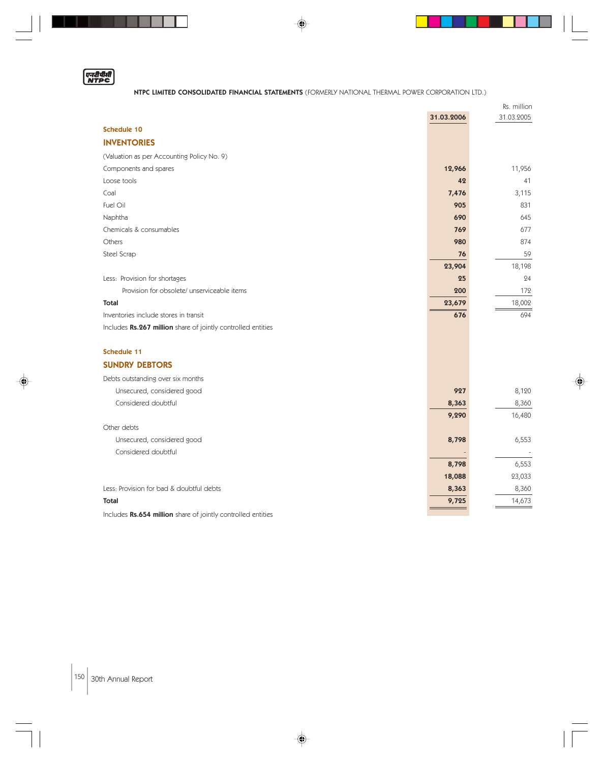

. . .

## NTPC LIMITED CONSOLIDATED FINANCIAL STATEMENTS (FORMERLY NATIONAL THERMAL POWER CORPORATION LTD.)

◈

<u>a sa san</u>

|                                                                                                                                                                                                                                                                                                                                                                                |            | Rs. million |
|--------------------------------------------------------------------------------------------------------------------------------------------------------------------------------------------------------------------------------------------------------------------------------------------------------------------------------------------------------------------------------|------------|-------------|
|                                                                                                                                                                                                                                                                                                                                                                                | 31.03.2006 | 31.03.2005  |
| <b>Schedule 10</b>                                                                                                                                                                                                                                                                                                                                                             |            |             |
| <b>INVENTORIES</b>                                                                                                                                                                                                                                                                                                                                                             |            |             |
| (Valuation as per Accounting Policy No. 9)                                                                                                                                                                                                                                                                                                                                     |            |             |
| Components and spares                                                                                                                                                                                                                                                                                                                                                          | 12,966     | 11,956      |
| Loose tools                                                                                                                                                                                                                                                                                                                                                                    | 42         | 41          |
| Coal                                                                                                                                                                                                                                                                                                                                                                           | 7,476      | 3,115       |
| Fuel Oil                                                                                                                                                                                                                                                                                                                                                                       | 905        | 831         |
| Naphtha                                                                                                                                                                                                                                                                                                                                                                        | 690        | 645         |
| Chemicals & consumables                                                                                                                                                                                                                                                                                                                                                        | 769        | 677         |
| Others                                                                                                                                                                                                                                                                                                                                                                         | 980        | 874         |
| Steel Scrap                                                                                                                                                                                                                                                                                                                                                                    | 76         | 59          |
|                                                                                                                                                                                                                                                                                                                                                                                | 23,904     | 18,198      |
| Less: Provision for shortages                                                                                                                                                                                                                                                                                                                                                  | 25         | 24          |
| Provision for obsolete/ unserviceable items                                                                                                                                                                                                                                                                                                                                    | 200        | 172         |
| <b>Total</b>                                                                                                                                                                                                                                                                                                                                                                   | 23,679     | 18,002      |
| Inventories include stores in transit                                                                                                                                                                                                                                                                                                                                          | 676        | 694         |
| Includes Rs.267 million share of jointly controlled entities                                                                                                                                                                                                                                                                                                                   |            |             |
|                                                                                                                                                                                                                                                                                                                                                                                |            |             |
| Schedule 11                                                                                                                                                                                                                                                                                                                                                                    |            |             |
| <b>SUNDRY DEBTORS</b>                                                                                                                                                                                                                                                                                                                                                          |            |             |
| Debts outstanding over six months                                                                                                                                                                                                                                                                                                                                              |            |             |
| Unsecured, considered good                                                                                                                                                                                                                                                                                                                                                     | 927        | 8,120       |
| Considered doubtful                                                                                                                                                                                                                                                                                                                                                            | 8,363      | 8,360       |
|                                                                                                                                                                                                                                                                                                                                                                                | 9,290      | 16,480      |
| Other debts                                                                                                                                                                                                                                                                                                                                                                    |            |             |
| Unsecured, considered good                                                                                                                                                                                                                                                                                                                                                     | 8,798      | 6,553       |
| Considered doubtful                                                                                                                                                                                                                                                                                                                                                            |            |             |
|                                                                                                                                                                                                                                                                                                                                                                                | 8,798      | 6,553       |
|                                                                                                                                                                                                                                                                                                                                                                                | 18,088     | 23,033      |
| Less: Provision for bad & doubtful debts                                                                                                                                                                                                                                                                                                                                       | 8,363      | 8,360       |
| Total                                                                                                                                                                                                                                                                                                                                                                          | 9,725      | 14,673      |
| $\mathbf{A} = \mathbf{A} + \mathbf{B}$ , $\mathbf{A} = \mathbf{A} + \mathbf{B}$ , $\mathbf{A} = \mathbf{A} + \mathbf{B}$ , $\mathbf{A} = \mathbf{A} + \mathbf{B}$ , $\mathbf{A} = \mathbf{A} + \mathbf{B}$ , $\mathbf{A} = \mathbf{A} + \mathbf{B}$ , $\mathbf{A} = \mathbf{A} + \mathbf{B}$ , $\mathbf{A} = \mathbf{A} + \mathbf{B}$ , $\mathbf{A} = \mathbf{A} + \mathbf{B}$ |            |             |

♦

Includes Rs.654 million share of jointly controlled entities

 $\Big|150\Big|$  30th Annual Report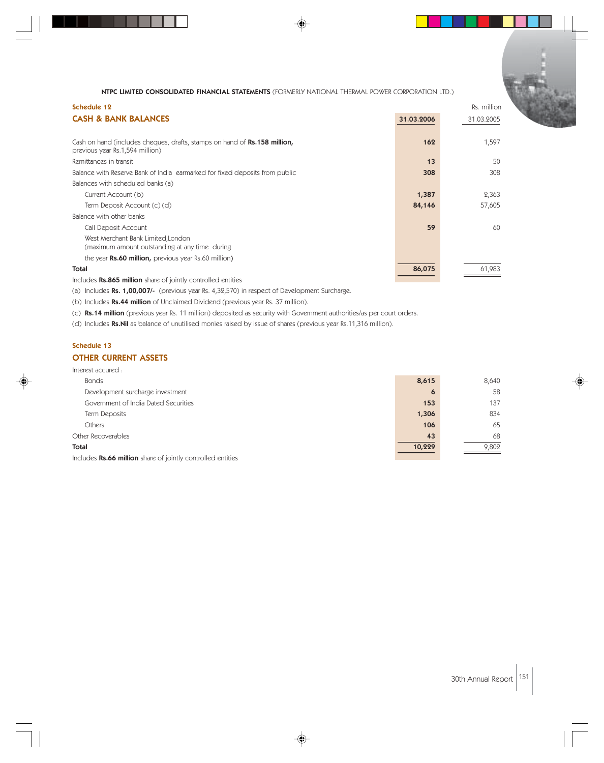| Schedule 12                                                                                                         |            | Rs. million |
|---------------------------------------------------------------------------------------------------------------------|------------|-------------|
| <b>CASH &amp; BANK BALANCES</b>                                                                                     | 31.03.2006 | 31.03.2005  |
|                                                                                                                     |            |             |
| Cash on hand (includes cheques, drafts, stamps on hand of <b>Rs.158 million,</b><br>previous year Rs.1,594 million) | 162        | 1,597       |
| Remittances in transit                                                                                              | 13         | 50          |
| Balance with Reserve Bank of India earmarked for fixed deposits from public                                         | 308        | 308         |
| Balances with scheduled banks (a)                                                                                   |            |             |
| Current Account (b)                                                                                                 | 1,387      | 2,363       |
| Term Deposit Account (c) (d)                                                                                        | 84,146     | 57,605      |
| Balance with other banks                                                                                            |            |             |
| Call Deposit Account                                                                                                | 59         | 60          |
| West Merchant Bank Limited, London<br>(maximum amount outstanding at any time during                                |            |             |
| the year <b>Rs.60 million,</b> previous year Rs.60 million)                                                         |            |             |
| <b>Total</b>                                                                                                        | 86,075     | 61,983      |
| the business <b>De OLE</b> million shore of is intuited and continued                                               |            |             |

Includes Rs.865 million share of jointly controlled entities

(a) Includes Rs. 1,00,007/- (previous year Rs. 4,32,570) in respect of Development Surcharge.

(b) Includes Rs.44 million of Unclaimed Dividend (previous year Rs. 37 million).

(c) Rs.14 million (previous year Rs. 11 million) deposited as security with Government authorities/as per court orders.

(d) Includes Rs.Nil as balance of unutilised monies raised by issue of shares (previous year Rs.11,316 million).

# Schedule 13 OTHER CURRENT ASSETS

#### Interest accured :

| <b>Bonds</b>                         | 8,615  | 8,640 |
|--------------------------------------|--------|-------|
| Development surcharge investment     | 6      | 58    |
| Government of India Dated Securities | 153    | 137   |
| Term Deposits                        | 1,306  | 834   |
| <b>Others</b>                        | 106    | 65    |
| Other Recoverables                   | 43     | 68    |
| <b>Total</b>                         | 10,229 | 9,802 |
|                                      |        |       |

Includes Rs.66 million share of jointly controlled entities

30th Annual Report 151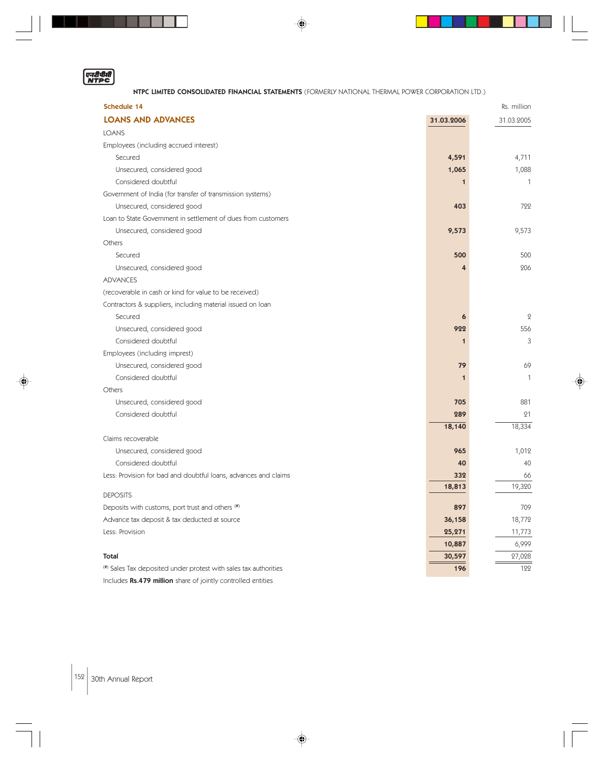एनदीपीसी

. . .

NTPC LIMITED CONSOLIDATED FINANCIAL STATEMENTS (FORMERLY NATIONAL THERMAL POWER CORPORATION LTD.)

◈

a a se

 $\Box$ 

| <b>LOANS AND ADVANCES</b><br>31.03.2006<br>31.03.2005<br><b>LOANS</b><br>Employees (including accrued interest)<br>Secured<br>4,591<br>4,711 |
|----------------------------------------------------------------------------------------------------------------------------------------------|
|                                                                                                                                              |
|                                                                                                                                              |
|                                                                                                                                              |
|                                                                                                                                              |
| Unsecured, considered good<br>1,065<br>1,088                                                                                                 |
| Considered doubtful<br>1                                                                                                                     |
| Government of India (for transfer of transmission systems)                                                                                   |
| 722<br>Unsecured, considered good<br>403                                                                                                     |
| Loan to State Government in settlement of dues from customers                                                                                |
| Unsecured, considered good<br>9,573<br>9,573                                                                                                 |
| Others                                                                                                                                       |
| 500<br>500<br>Secured                                                                                                                        |
| 206<br>Unsecured, considered good                                                                                                            |
| <b>ADVANCES</b>                                                                                                                              |
| (recoverable in cash or kind for value to be received)                                                                                       |
| Contractors & suppliers, including material issued on loan                                                                                   |
| Secured<br>6                                                                                                                                 |
| Unsecured, considered good<br>922<br>556                                                                                                     |
| Considered doubtful<br>1                                                                                                                     |
| Employees (including imprest)                                                                                                                |
| Unsecured, considered good<br>79<br>69                                                                                                       |
| Considered doubtful<br>1                                                                                                                     |
| Others                                                                                                                                       |
| Unsecured, considered good<br>705<br>881                                                                                                     |
| Considered doubtful<br>289<br>21                                                                                                             |
| 18,334<br>18,140                                                                                                                             |
| Claims recoverable                                                                                                                           |
| 965<br>1,012<br>Unsecured, considered good                                                                                                   |
| Considered doubtful<br>40<br>40                                                                                                              |
| Less: Provision for bad and doubtful loans, advances and claims<br>332<br>66                                                                 |
| 18,813<br>19,320<br><b>DEPOSITS</b>                                                                                                          |
| 897<br>709                                                                                                                                   |
| Deposits with customs, port trust and others (#)<br>Advance tax deposit & tax deducted at source<br>36,158<br>18,772                         |
|                                                                                                                                              |
| Less: Provision<br>25,271<br>11,773<br>6,999<br>10,887                                                                                       |
| 30,597<br>Total                                                                                                                              |
| 27,028<br>122<br>(#) Sales Tax deposited under protest with sales tax authorities<br>196                                                     |
| Includes Rs.479 million share of jointly controlled entities                                                                                 |

♦

 $\left| \frac{152}{30} \right|$  30th Annual Report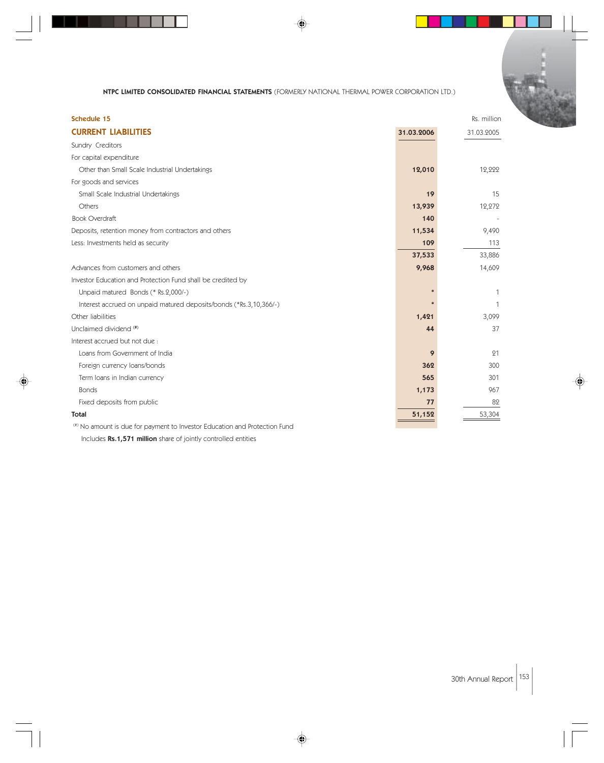◈

| <b>Schedule 15</b>                                                         |            | Rs. million |
|----------------------------------------------------------------------------|------------|-------------|
| <b>CURRENT LIABILITIES</b>                                                 | 31.03.2006 | 31.03.2005  |
| Sundry Creditors                                                           |            |             |
| For capital expenditure                                                    |            |             |
| Other than Small Scale Industrial Undertakings                             | 12,010     | 12,222      |
| For goods and services                                                     |            |             |
| Small Scale Industrial Undertakings                                        | 19         | 15          |
| Others                                                                     | 13,939     | 12,272      |
| <b>Book Overdraft</b>                                                      | 140        |             |
| Deposits, retention money from contractors and others                      | 11,534     | 9,490       |
| Less: Investments held as security                                         | 109        | 113         |
|                                                                            | 37,533     | 33,886      |
| Advances from customers and others                                         | 9,968      | 14,609      |
| Investor Education and Protection Fund shall be credited by                |            |             |
| Unpaid matured Bonds (* Rs.2,000/-)                                        |            |             |
| Interest accrued on unpaid matured deposits/bonds (*Rs.3,10,366/-)         |            |             |
| Other liabilities                                                          | 1,421      | 3,099       |
| Unclaimed dividend (#)                                                     | 44         | 37          |
| Interest accrued but not due:                                              |            |             |
| Loans from Government of India                                             | 9          | 21          |
| Foreign currency loans/bonds                                               | 362        | 300         |
| Term loans in Indian currency                                              | 565        | 301         |
| <b>Bonds</b>                                                               | 1,173      | 967         |
| Fixed deposits from public                                                 | 77         | 82          |
| <b>Total</b>                                                               | 51,152     | 53,304      |
| (#) No amount is due for payment to Investor Education and Protection Fund |            |             |

♦

Includes Rs.1,571 million share of jointly controlled entities

30th Annual Report  $\left| \frac{153}{153} \right|$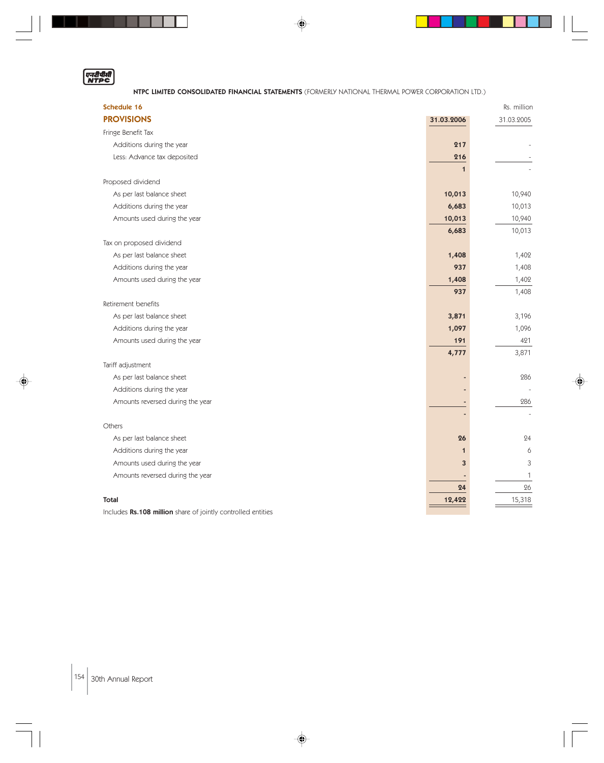

. . .

## NTPC LIMITED CONSOLIDATED FINANCIAL STATEMENTS (FORMERLY NATIONAL THERMAL POWER CORPORATION LTD.)

◈

 $\blacksquare$ 

| Schedule 16                                                  |             | Rs. million |
|--------------------------------------------------------------|-------------|-------------|
| <b>PROVISIONS</b>                                            | 31.03.2006  | 31.03.2005  |
| Fringe Benefit Tax                                           |             |             |
| Additions during the year                                    | 217         |             |
| Less: Advance tax deposited                                  | 216         |             |
|                                                              | $\mathbf 1$ |             |
| Proposed dividend                                            |             |             |
| As per last balance sheet                                    | 10,013      | 10,940      |
| Additions during the year                                    | 6,683       | 10,013      |
| Amounts used during the year                                 | 10,013      | 10,940      |
|                                                              | 6,683       | 10,013      |
| Tax on proposed dividend                                     |             |             |
| As per last balance sheet                                    | 1,408       | 1,402       |
| Additions during the year                                    | 937         | 1,408       |
| Amounts used during the year                                 | 1,408       | 1,402       |
|                                                              | 937         | 1,408       |
| Retirement benefits                                          |             |             |
| As per last balance sheet                                    | 3,871       | 3,196       |
| Additions during the year                                    | 1,097       | 1,096       |
| Amounts used during the year                                 | 191         | 421         |
|                                                              | 4,777       | 3,871       |
| Tariff adjustment                                            |             |             |
| As per last balance sheet                                    |             | 286         |
| Additions during the year                                    |             |             |
| Amounts reversed during the year                             |             | 286         |
|                                                              |             |             |
| Others                                                       |             |             |
| As per last balance sheet                                    | 26          | 24          |
| Additions during the year                                    | $\mathbf 1$ | 6           |
| Amounts used during the year                                 | 3           | 3           |
| Amounts reversed during the year                             |             | 1           |
|                                                              | 24          | 26          |
| <b>Total</b>                                                 | 12,422      | 15,318      |
| Includes Rs.108 million share of jointly controlled entities |             |             |

♦

Includes Rs.108 million share of jointly controlled entities

 $|154|$  30th Annual Report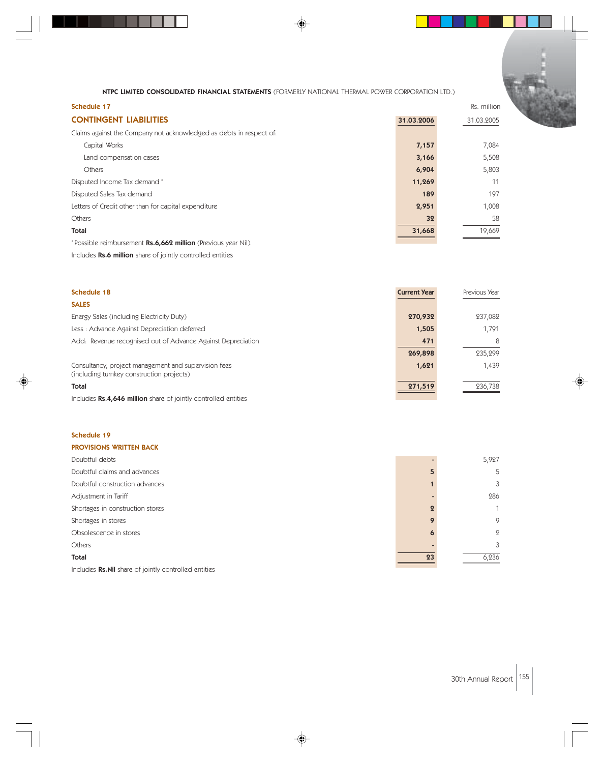| Schedule 17                                                         |            | Rs. million |
|---------------------------------------------------------------------|------------|-------------|
| <b>CONTINGENT LIABILITIES</b>                                       | 31.03.2006 | 31.03.2005  |
| Claims against the Company not acknowledged as debts in respect of: |            |             |
| Capital Works                                                       | 7,157      | 7,084       |
| Land compensation cases                                             | 3,166      | 5,508       |
| <b>Others</b>                                                       | 6,904      | 5,803       |
| Disputed Income Tax demand *                                        | 11,269     | 11          |
| Disputed Sales Tax demand                                           | 189        | 197         |
| Letters of Credit other than for capital expenditure                | 2,951      | 1,008       |
| <b>Others</b>                                                       | 32         | 58          |
| <b>Total</b>                                                        | 31,668     | 19,669      |
| *Possible reimbursement Rs.6,662 million (Previous year Nil).       |            |             |

Includes Rs.6 million share of jointly controlled entities

| <b>Schedule 18</b>                                                                                | <b>Current Year</b> | Previous Year |
|---------------------------------------------------------------------------------------------------|---------------------|---------------|
| <b>SALES</b>                                                                                      |                     |               |
| Energy Sales (including Electricity Duty)                                                         | 270,932             | 237,082       |
| Less: Advance Against Depreciation deferred                                                       | 1,505               | 1.791         |
| Add: Revenue recognised out of Advance Against Depreciation                                       | 471                 | 8             |
|                                                                                                   | 269,898             | 235,299       |
| Consultancy, project management and supervision fees<br>(including turnkey construction projects) | 1,621               | 1,439         |
| Total                                                                                             | 271,519             | 236.738       |

Includes Rs.4,646 million share of jointly controlled entities

# Schedule 19

#### PROVISIONS WRITTEN BACK

| Doubtful debts                                        |    | 5,927          |
|-------------------------------------------------------|----|----------------|
| Doubtful claims and advances                          |    | 5              |
| Doubtful construction advances                        |    | 3              |
| Adjustment in Tariff                                  |    | 286            |
| Shortages in construction stores                      |    | 1              |
| Shortages in stores                                   |    | 9              |
| Obsolescence in stores                                | Ю  | $\overline{Q}$ |
| <b>Others</b>                                         |    | 3              |
| Total                                                 | 23 | 6,236          |
| Includes Rs. Nil share of jointly controlled entities |    |                |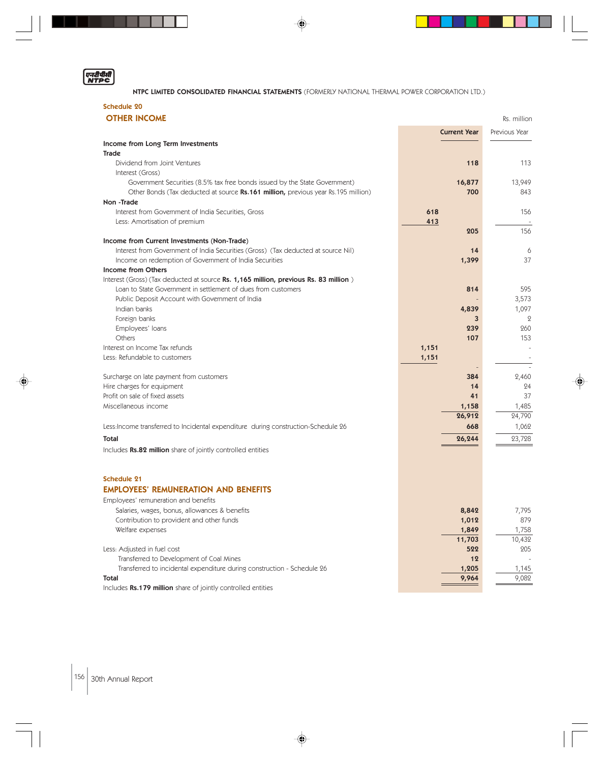

⊕

. . .

NTPC LIMITED CONSOLIDATED FINANCIAL STATEMENTS (FORMERLY NATIONAL THERMAL POWER CORPORATION LTD.)

 $\color{red}\blacklozenge$ 

 $\begin{array}{c} \hline \end{array}$ 

 $\Box$ 

# Schedule 20

| <b>OTHER INCOME</b>                                                                                              |                     |                |  |
|------------------------------------------------------------------------------------------------------------------|---------------------|----------------|--|
|                                                                                                                  | <b>Current Year</b> | Previous Year  |  |
| Income from Long Term Investments                                                                                |                     |                |  |
| <b>Trade</b>                                                                                                     |                     |                |  |
| Dividend from Joint Ventures<br>Interest (Gross)                                                                 | 118                 | 113            |  |
| Government Securities (8.5% tax free bonds issued by the State Government)                                       | 16,877              | 13,949         |  |
| Other Bonds (Tax deducted at source Rs.161 million, previous year Rs.195 million)                                | 700                 | 843            |  |
| Non-Trade                                                                                                        |                     |                |  |
| Interest from Government of India Securities, Gross                                                              | 618                 | 156            |  |
| Less: Amortisation of premium                                                                                    | 413                 |                |  |
|                                                                                                                  | 205                 | 156            |  |
| Income from Current Investments (Non-Trade)                                                                      |                     |                |  |
| Interest from Government of India Securities (Gross) (Tax deducted at source Nil)                                | 14                  | 6              |  |
| Income on redemption of Government of India Securities                                                           | 1,399               | 37             |  |
| Income from Others                                                                                               |                     |                |  |
| Interest (Gross) (Tax deducted at source Rs. 1,165 million, previous Rs. 83 million)                             |                     |                |  |
| Loan to State Government in settlement of dues from customers<br>Public Deposit Account with Government of India | 814                 | 595            |  |
| Indian banks                                                                                                     | 4,839               | 3,573<br>1,097 |  |
| Foreign banks                                                                                                    | 3                   | $\mathbf{2}$   |  |
| Employees' loans                                                                                                 | 239                 | 260            |  |
| Others                                                                                                           | 107                 | 153            |  |
| Interest on Income Tax refunds                                                                                   | 1,151               |                |  |
| Less: Refundable to customers                                                                                    | 1,151               |                |  |
|                                                                                                                  |                     |                |  |
| Surcharge on late payment from customers                                                                         | 384                 | 2,460          |  |
| Hire charges for equipment                                                                                       | 14                  | 24             |  |
| Profit on sale of fixed assets                                                                                   | 41                  | 37             |  |
| Miscellaneous income                                                                                             | 1,158               | 1,485          |  |
|                                                                                                                  | 26,912              | 24,790         |  |
| Less: Income transferred to Incidental expenditure during construction-Schedule 26                               | 668                 | 1,062          |  |
| <b>Total</b>                                                                                                     | 26,244              | 23,728         |  |
| Includes Rs.82 million share of jointly controlled entities                                                      |                     |                |  |
|                                                                                                                  |                     |                |  |
| <b>Schedule 21</b>                                                                                               |                     |                |  |
| <b>EMPLOYEES' REMUNERATION AND BENEFITS</b>                                                                      |                     |                |  |
| Employees' remuneration and benefits                                                                             |                     |                |  |
| Salaries, wages, bonus, allowances & benefits                                                                    | 8,842               | 7,795          |  |
| Contribution to provident and other funds                                                                        | 1,012               | 879            |  |
| Welfare expenses                                                                                                 | 1,849               | 1,758          |  |
|                                                                                                                  | 11,703              | 10,432         |  |
| Less: Adjusted in fuel cost<br>Transferred to Development of Coal Mines                                          | 522<br>12           | 205            |  |
| Transferred to incidental expenditure during construction - Schedule 26                                          | 1,205               | 1,145          |  |
| Total                                                                                                            | 9,964               | 9,082          |  |
| Includes Rs.179 million share of jointly controlled entities                                                     |                     |                |  |

 $\overline{\blacklozenge}$ 

 $|156|$  30th Annual Report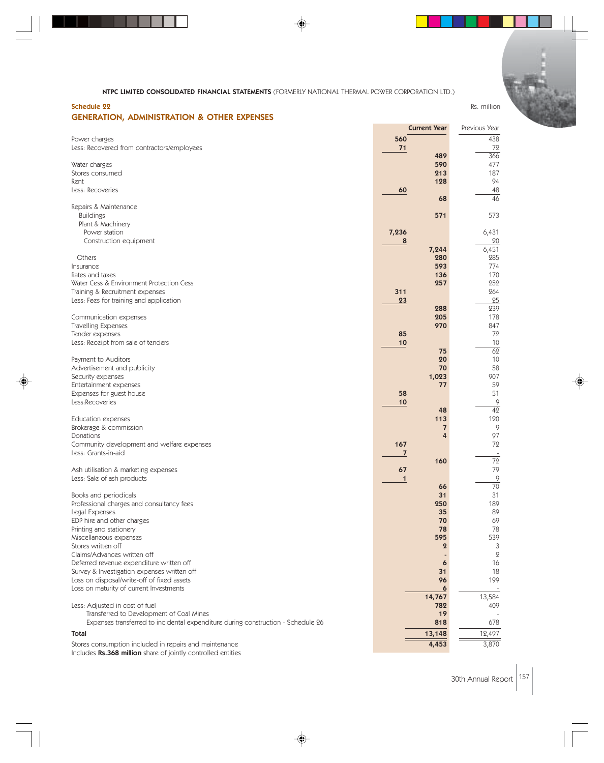## Schedule 22 Rs. million GENERATION, ADMINISTRATION & OTHER EXPENSES

|                                                                                                                        | <b>Current Year</b> | Previous Year   |
|------------------------------------------------------------------------------------------------------------------------|---------------------|-----------------|
| Power charges                                                                                                          | 560                 | 438             |
| Less: Recovered from contractors/employees                                                                             | 71                  | 72              |
|                                                                                                                        | 489                 | 366             |
| Water charges                                                                                                          | 590                 | 477             |
| Stores consumed                                                                                                        | 213                 | 187             |
| Rent                                                                                                                   | 128                 | 94              |
| Less: Recoveries                                                                                                       | 60                  | 48              |
|                                                                                                                        | 68                  | $\overline{46}$ |
| Repairs & Maintenance                                                                                                  |                     |                 |
| <b>Buildings</b><br>Plant & Machinery                                                                                  | 571                 | 573             |
| Power station                                                                                                          | 7,236               | 6,431           |
| Construction equipment                                                                                                 | 8                   | 20              |
|                                                                                                                        | 7,244               | 6,451           |
| Others                                                                                                                 | 280                 | 285             |
| Insurance                                                                                                              | 593                 | 774             |
| Rates and taxes                                                                                                        | 136                 | 170             |
| Water Cess & Environment Protection Cess                                                                               | 257                 | 252             |
| Training & Recruitment expenses                                                                                        | 311                 | 264             |
| Less: Fees for training and application                                                                                | 23                  | 25              |
|                                                                                                                        | 288                 | 239             |
| Communication expenses                                                                                                 | 205                 | 178             |
| Travelling Expenses                                                                                                    | 970                 | 847             |
| Tender expenses                                                                                                        | 85                  | 72<br>10        |
| Less: Receipt from sale of tenders                                                                                     | 10<br>75            | 62              |
| Payment to Auditors                                                                                                    | 20                  | 10              |
| Advertisement and publicity                                                                                            | 70                  | 58              |
| Security expenses                                                                                                      | 1,023               | 907             |
| Entertainment expenses                                                                                                 | 77                  | 59              |
| Expenses for guest house                                                                                               | 58                  | 51              |
| Less:Recoveries                                                                                                        | 10                  | 9               |
|                                                                                                                        | 48                  | $\overline{42}$ |
| <b>Education expenses</b>                                                                                              | 113                 | 120             |
| Brokerage & commission                                                                                                 | 7                   | 9               |
| Donations                                                                                                              | 4                   | 97              |
| Community development and welfare expenses<br>Less: Grants-in-aid                                                      | 167                 | 72              |
|                                                                                                                        | 7<br>160            | 72              |
| Ash utilisation & marketing expenses                                                                                   | 67                  | 79              |
| Less: Sale of ash products                                                                                             | $\mathbf 1$         | 9               |
|                                                                                                                        | 66                  | 70              |
| Books and periodicals                                                                                                  | 31                  | 31              |
| Professional charges and consultancy fees                                                                              | 250                 | 189             |
| Legal Expenses                                                                                                         | 35                  | 89              |
| EDP hire and other charges                                                                                             | 70                  | 69              |
| Printing and stationery                                                                                                | 78                  | 78              |
| Miscellaneous expenses                                                                                                 | 595                 | 539             |
| Stores written off                                                                                                     | $\mathbf 2$         | 3               |
| Claims/Advances written off                                                                                            |                     | $\mathbf{Q}$    |
| Deferred revenue expenditure written off<br>Survey & Investigation expenses written off                                | 6<br>31             | 16<br>18        |
| Loss on disposal/write-off of fixed assets                                                                             | 96                  | 199             |
| Loss on maturity of current Investments                                                                                | $\boldsymbol{6}$    |                 |
|                                                                                                                        | 14,767              | 13,584          |
| Less: Adjusted in cost of fuel                                                                                         | 782                 | 409             |
| Transferred to Development of Coal Mines                                                                               | 19                  |                 |
| Expenses transferred to incidental expenditure during construction - Schedule 26                                       | 818                 | 678             |
| Total                                                                                                                  | 13,148              | 12,497          |
|                                                                                                                        | 4,453               | 3,870           |
| Stores consumption included in repairs and maintenance<br>Includes Rs.368 million share of jointly controlled entities |                     |                 |

⊕

30th Annual Report 157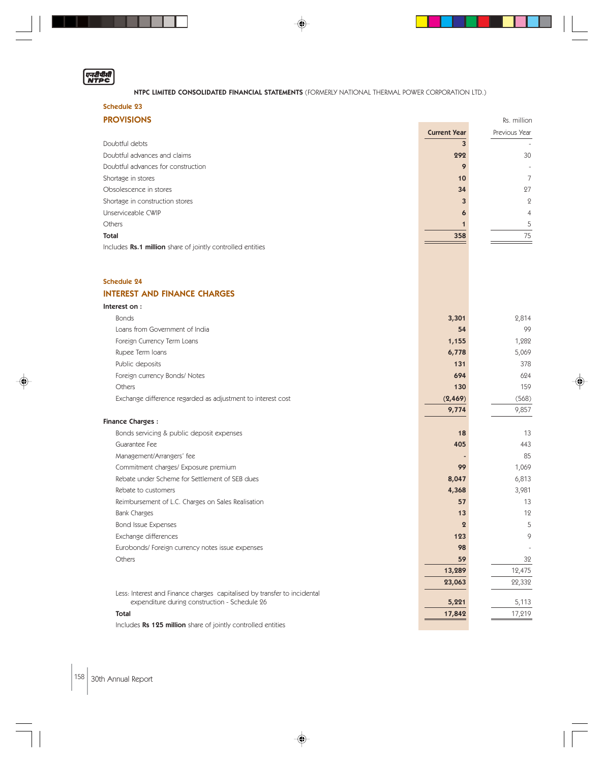# ण्न्यीमीती<br>NTPC

## NTPC LIMITED CONSOLIDATED FINANCIAL STATEMENTS (FORMERLY NATIONAL THERMAL POWER CORPORATION LTD.)

♦

# Schedule 23

| <b>PROVISIONS</b><br>Rs. million                           |                     |                |
|------------------------------------------------------------|---------------------|----------------|
|                                                            | <b>Current Year</b> | Previous Year  |
| Doubtful debts                                             |                     |                |
| Doubtful advances and claims                               | 292                 | 30             |
| Doubtful advances for construction                         | 9                   |                |
| Shortage in stores                                         | 10                  |                |
| Obsolescence in stores                                     | 34                  | 27             |
| Shortage in construction stores                            | 3                   | $\overline{2}$ |
| Unserviceable CWIP                                         | 6                   | 4              |
| Others                                                     |                     | 5.             |
| Total                                                      | 358                 | 75             |
| Includes Rs.1 million share of jointly controlled entities |                     |                |

# Schedule 24

# INTEREST AND FINANCE CHARGES

| Interest on:                                                             |          |        |
|--------------------------------------------------------------------------|----------|--------|
| <b>Bonds</b>                                                             | 3,301    | 2,814  |
| Loans from Government of India                                           | 54       | 99     |
| Foreign Currency Term Loans                                              | 1,155    | 1,282  |
| Rupee Term Ioans                                                         | 6,778    | 5,069  |
| Public deposits                                                          | 131      | 378    |
| Foreign currency Bonds/ Notes                                            | 694      | 624    |
| Others                                                                   | 130      | 159    |
| Exchange difference regarded as adjustment to interest cost              | (2, 469) | (568)  |
|                                                                          | 9,774    | 9,857  |
| <b>Finance Charges:</b>                                                  |          |        |
| Bonds servicing & public deposit expenses                                | 18       | 13     |
| Guarantee Fee                                                            | 405      | 443    |
| Management/Arrangers' fee                                                |          | 85     |
| Commitment charges/ Exposure premium                                     | 99       | 1,069  |
| Rebate under Scheme for Settlement of SEB dues                           | 8,047    | 6,813  |
| Rebate to customers                                                      | 4,368    | 3,981  |
| Reimbursement of L.C. Charges on Sales Realisation                       | 57       | 13     |
| <b>Bank Charges</b>                                                      | 13       | 12     |
| <b>Bond Issue Expenses</b>                                               | $\Omega$ | 5      |
| Exchange differences                                                     | 123      | 9      |
| Eurobonds/ Foreign currency notes issue expenses                         | 98       |        |
| Others                                                                   | 59       | 32     |
|                                                                          | 13,289   | 12,475 |
|                                                                          | 23,063   | 22,332 |
| Less: Interest and Finance charges capitalised by transfer to incidental |          |        |
| expenditure during construction - Schedule 26                            | 5,221    | 5,113  |
| <b>Total</b>                                                             | 17,842   | 17,219 |

⊕

Includes Rs 125 million share of jointly controlled entities

158 30th Annual Report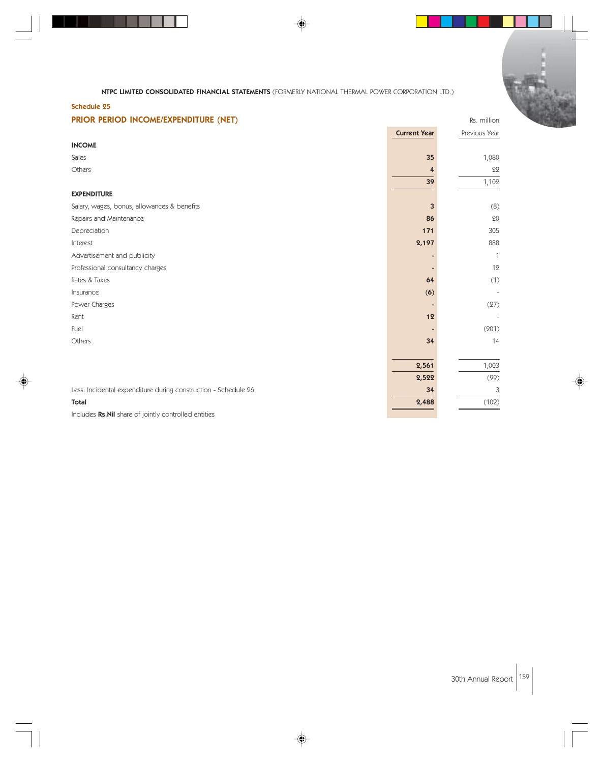

◈

| .c<br>. .<br>×.<br>M.<br>٩<br>M. | .<br>۰.<br>M.<br>M. |  |
|----------------------------------|---------------------|--|

. . .

| PRIOR PERIOD INCOME/EXPENDITURE (NET)                          |                     | Rs. million   |
|----------------------------------------------------------------|---------------------|---------------|
|                                                                | <b>Current Year</b> | Previous Year |
| <b>INCOME</b>                                                  |                     |               |
| Sales                                                          | 35                  | 1,080         |
| Others                                                         | 4                   | 22            |
|                                                                | 39                  | 1,102         |
| <b>EXPENDITURE</b>                                             |                     |               |
| Salary, wages, bonus, allowances & benefits                    | $\overline{3}$      | (8)           |
| Repairs and Maintenance                                        | 86                  | 20            |
| Depreciation                                                   | 171                 | 305           |
| Interest                                                       | 2,197               | 888           |
| Advertisement and publicity                                    |                     | 1             |
| Professional consultancy charges                               |                     | 12            |
| Rates & Taxes                                                  | 64                  | (1)           |
| Insurance                                                      | (6)                 |               |
| Power Charges                                                  |                     | (27)          |
| Rent                                                           | 12                  |               |
| Fuel                                                           |                     | (201)         |
| Others                                                         | 34                  | 14            |
|                                                                |                     |               |
|                                                                | 2,561               | 1,003         |
|                                                                | 2,522               | (99)          |
| Less: Incidental expenditure during construction - Schedule 26 | 34                  | 3             |
| <b>Total</b>                                                   | 2,488               | (102)         |
|                                                                |                     |               |

⊕

Includes Rs.Nil share of jointly controlled entities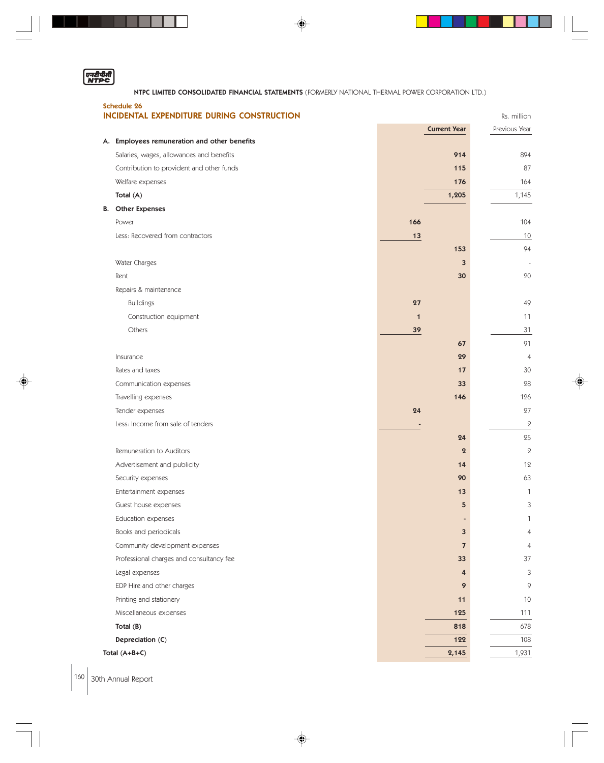| एनरीपीती |  |
|----------|--|
| NTP      |  |

. . .

NTPC LIMITED CONSOLIDATED FINANCIAL STATEMENTS (FORMERLY NATIONAL THERMAL POWER CORPORATION LTD.)

 $\color{red}\blacklozenge$ 

**TIME** 

 $\begin{array}{c} \hline \end{array}$ 

 $\Box$ 

| <b>Schedule 26</b>                                                                       |              |                     |               |                |
|------------------------------------------------------------------------------------------|--------------|---------------------|---------------|----------------|
| INCIDENTAL EXPENDITURE DURING CONSTRUCTION                                               |              |                     | Rs. million   |                |
|                                                                                          |              | <b>Current Year</b> | Previous Year |                |
| A. Employees remuneration and other benefits<br>Salaries, wages, allowances and benefits |              | 914                 |               | 894            |
| Contribution to provident and other funds                                                |              | 115                 |               | 87             |
|                                                                                          |              | 176                 |               | 164            |
| Welfare expenses<br>Total (A)                                                            |              | 1,205               |               | 1,145          |
| <b>B.</b> Other Expenses                                                                 |              |                     |               |                |
| Power                                                                                    | 166          |                     |               | 104            |
| Less: Recovered from contractors                                                         | 13           |                     |               | 10             |
|                                                                                          |              | 153                 |               | 94             |
| Water Charges                                                                            |              | 3                   |               |                |
| Rent                                                                                     |              | 30                  |               | 20             |
| Repairs & maintenance                                                                    |              |                     |               |                |
| <b>Buildings</b>                                                                         | 27           |                     |               | 49             |
| Construction equipment                                                                   | $\mathbf{1}$ |                     |               | 11             |
| Others                                                                                   |              |                     |               | 31             |
|                                                                                          | 39           | 67                  |               | 91             |
| Insurance                                                                                |              | 29                  |               | $\overline{4}$ |
| Rates and taxes                                                                          |              | 17                  |               | 30             |
|                                                                                          |              | 33                  |               | 28             |
| Communication expenses                                                                   |              | 146                 |               | 126            |
| Travelling expenses                                                                      | 24           |                     |               | 27             |
| Tender expenses<br>Less: Income from sale of tenders                                     |              |                     |               | $\mathbf 2$    |
|                                                                                          |              | 24                  |               | 25             |
| Remuneration to Auditors                                                                 |              | $\boldsymbol{2}$    |               | $\mathbf{2}$   |
| Advertisement and publicity                                                              |              | 14                  |               | 12             |
| Security expenses                                                                        |              | 90                  |               | 63             |
| Entertainment expenses                                                                   |              | 13                  |               | 1              |
| Guest house expenses                                                                     |              | 5                   |               | 3              |
| Education expenses                                                                       |              |                     |               | $\mathbf{1}$   |
| Books and periodicals                                                                    |              | 3                   |               | 4              |
| Community development expenses                                                           |              | $\overline{7}$      |               | $\overline{4}$ |
| Professional charges and consultancy fee                                                 |              | 33                  |               | 37             |
| Legal expenses                                                                           |              | 4                   |               | 3              |
| EDP Hire and other charges                                                               |              | 9                   |               | 9              |
| Printing and stationery                                                                  |              | 11                  |               | 10             |
| Miscellaneous expenses                                                                   |              | 125                 |               | 111            |
| Total $(B)$                                                                              |              | 818                 |               | 678            |
| Depreciation (C)                                                                         |              | 122                 |               | 108            |
| Total (A+B+C)                                                                            |              | 2,145               |               | 1,931          |
|                                                                                          |              |                     |               |                |

 $\overline{\blacklozenge}$ 

 $\Big|160\Big|$  30th Annual Report

 $\bigoplus$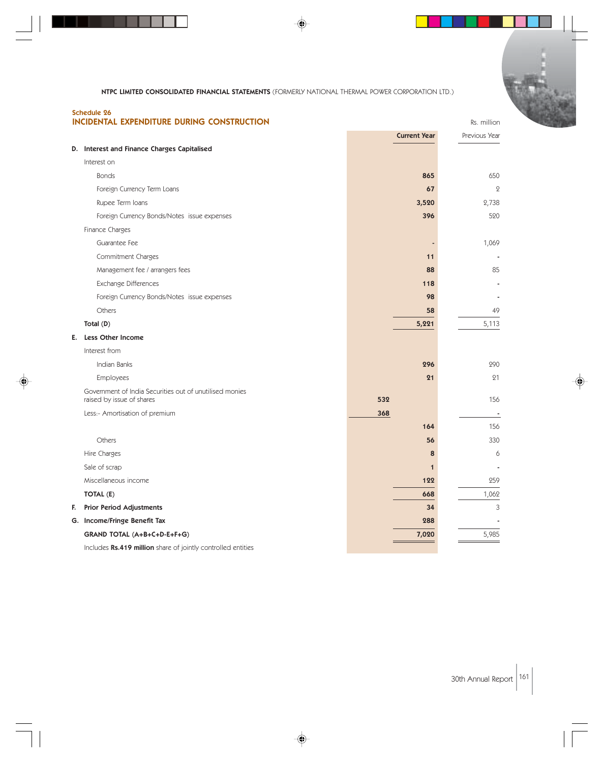|    | <b>Schedule 26</b><br>INCIDENTAL EXPENDITURE DURING CONSTRUCTION                     |                     |              | Rs. million   |
|----|--------------------------------------------------------------------------------------|---------------------|--------------|---------------|
|    |                                                                                      | <b>Current Year</b> |              | Previous Year |
|    | D. Interest and Finance Charges Capitalised                                          |                     |              |               |
|    | Interest on                                                                          |                     |              |               |
|    | <b>Bonds</b>                                                                         | 865                 |              | 650           |
|    | Foreign Currency Term Loans                                                          | 67                  |              | $\mathbf{Q}$  |
|    | Rupee Term Ioans                                                                     | 3,520               |              | 2,738         |
|    | Foreign Currency Bonds/Notes issue expenses                                          | 396                 |              | 520           |
|    | Finance Charges                                                                      |                     |              |               |
|    | Guarantee Fee                                                                        |                     |              | 1,069         |
|    | Commitment Charges                                                                   | 11                  |              |               |
|    | Management fee / arrangers fees                                                      | 88                  |              | 85            |
|    | Exchange Differences                                                                 | 118                 |              |               |
|    | Foreign Currency Bonds/Notes issue expenses                                          | 98                  |              |               |
|    | Others                                                                               | 58                  |              | 49            |
|    | Total (D)                                                                            | 5,221               |              | 5,113         |
| Е. | <b>Less Other Income</b>                                                             |                     |              |               |
|    | Interest from                                                                        |                     |              |               |
|    | Indian Banks                                                                         | 296                 |              | 290           |
|    | Employees                                                                            | 21                  |              | 21            |
|    | Government of India Securities out of unutilised monies<br>raised by issue of shares | 532                 |              | 156           |
|    | Less:- Amortisation of premium                                                       | 368                 |              |               |
|    |                                                                                      | 164                 |              | 156           |
|    | Others                                                                               | 56                  |              | 330           |
|    | Hire Charges                                                                         |                     | 8            | 6             |
|    | Sale of scrap                                                                        |                     | $\mathbf{1}$ |               |
|    | Miscellaneous income                                                                 | 122                 |              | 259           |
|    | TOTAL (E)                                                                            | 668                 |              | 1,062         |
| F. | <b>Prior Period Adjustments</b>                                                      | 34                  |              | 3             |
|    | G. Income/Fringe Benefit Tax                                                         | 288                 |              |               |
|    | GRAND TOTAL (A+B+C+D-E+F+G)                                                          | 7,020               |              | 5,985         |
|    | Includes Rs.419 million share of jointly controlled entities                         |                     |              |               |

◈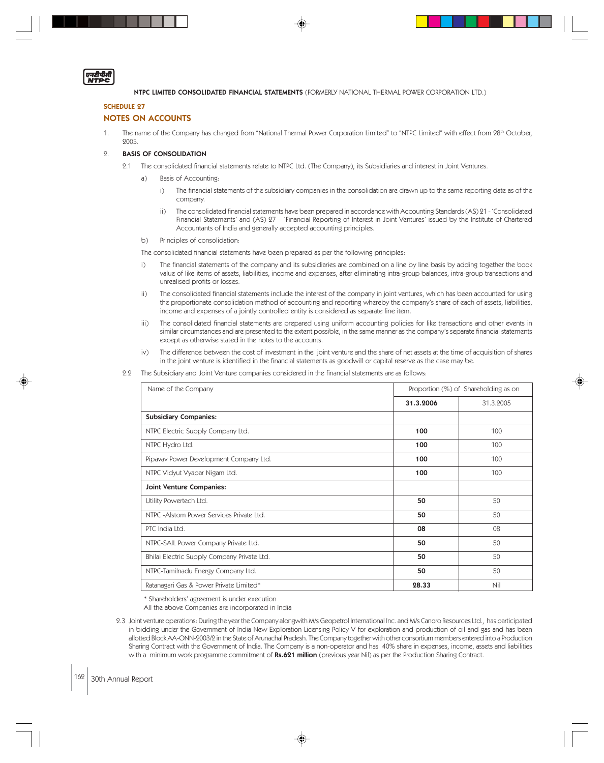

## SCHEDULE 27

## NOTES ON ACCOUNTS

1. The name of the Company has changed from "National Thermal Power Corporation Limited" to "NTPC Limited" with effect from 28<sup>th</sup> October, 2005.

#### 2. BASIS OF CONSOLIDATION

- 2.1 The consolidated financial statements relate to NTPC Ltd. (The Company), its Subsidiaries and interest in Joint Ventures.
	- a) Basis of Accounting:
		- i) The financial statements of the subsidiary companies in the consolidation are drawn up to the same reporting date as of the company.
		- ii) The consolidated financial statements have been prepared in accordance with Accounting Standards (AS) 21 'Consolidated Financial Statements' and (AS) 27 – 'Financial Reporting of Interest in Joint Ventures' issued by the Institute of Chartered Accountants of India and generally accepted accounting principles.
	- b) Principles of consolidation:

The consolidated financial statements have been prepared as per the following principles:

- i) The financial statements of the company and its subsidiaries are combined on a line by line basis by adding together the book value of like items of assets, liabilities, income and expenses, after eliminating intra-group balances, intra-group transactions and unrealised profits or losses.
- ii) The consolidated financial statements include the interest of the company in joint ventures, which has been accounted for using the proportionate consolidation method of accounting and reporting whereby the company's share of each of assets, liabilities, income and expenses of a jointly controlled entity is considered as separate line item.
- iii) The consolidated financial statements are prepared using uniform accounting policies for like transactions and other events in similar circumstances and are presented to the extent possible, in the same manner as the company's separate financial statements except as otherwise stated in the notes to the accounts.
- iv) The difference between the cost of investment in the joint venture and the share of net assets at the time of acquisition of shares in the joint venture is identified in the financial statements as goodwill or capital reserve as the case may be.
- 2.2 The Subsidiary and Joint Venture companies considered in the financial statements are as follows:

| Name of the Company                         |           | Proportion (%) of Shareholding as on |
|---------------------------------------------|-----------|--------------------------------------|
|                                             | 31.3.2006 | 31.3.2005                            |
| <b>Subsidiary Companies:</b>                |           |                                      |
| NTPC Electric Supply Company Ltd.           | 100       | 100                                  |
| NTPC Hydro Ltd.                             | 100       | 100                                  |
| Pipavav Power Development Company Ltd.      | 100       | 100                                  |
| NTPC Vidyut Vyapar Nigam Ltd.               | 100       | 100                                  |
| Joint Venture Companies:                    |           |                                      |
| Utility Powertech Ltd.                      | 50        | 50                                   |
| NTPC - Alstom Power Services Private Ltd.   | 50        | 50                                   |
| PTC India Ltd.                              | 08        | 08                                   |
| NTPC-SAIL Power Company Private Ltd.        | 50        | 50                                   |
| Bhilai Electric Supply Company Private Ltd. | 50        | 50                                   |
| NTPC-Tamilnadu Energy Company Ltd.          | 50        | 50                                   |
| Ratanagari Gas & Power Private Limited*     | 28.33     | Nil                                  |

\* Shareholders' agreement is under execution

All the above Companies are incorporated in India

2.3 Joint venture operations: During the year the Company alongwith M/s Geopetrol International Inc. and M/s Canoro Resources Ltd., has participated in bidding under the Government of India New Exploration Licensing Policy-V for exploration and production of oil and gas and has been allotted Block AA-ONN-2003/2 in the State of Arunachal Pradesh. The Company together with other consortium members entered into a Production Sharing Contract with the Government of India. The Company is a non-operator and has 40% share in expenses, income, assets and liabilities with a minimum work programme commitment of Rs.621 million (previous year Nil) as per the Production Sharing Contract.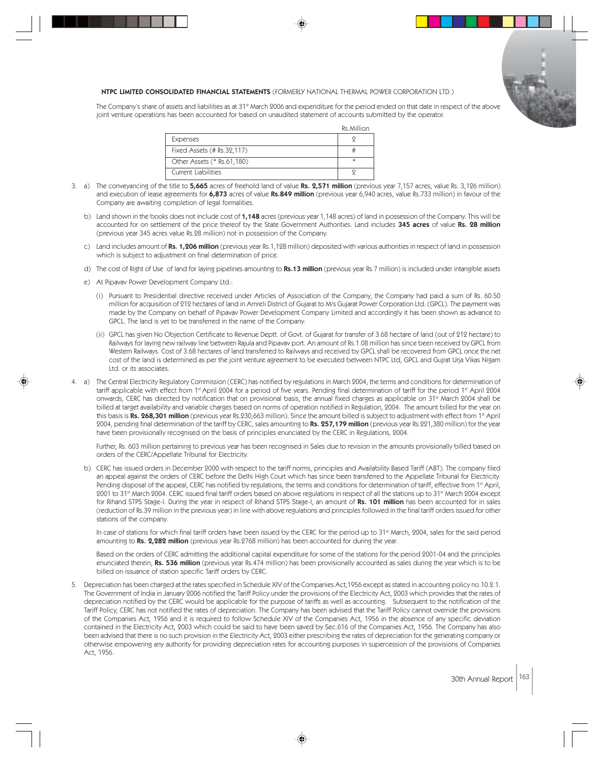

The Company's share of assets and liabilities as at 31<sup>st</sup> March 2006 and expenditure for the period ended on that date in respect of the above joint venture operations has been accounted for based on unaudited statement of accounts submitted by the operator.

Rs.Million

| <b>Expenses</b>            |  |
|----------------------------|--|
| Fixed Assets (# Rs.32,117) |  |
| Other Assets (* Rs.61,180) |  |
| Current Liabilities        |  |

- 3. a) The conveyancing of the title to 5,665 acres of freehold land of value Rs. 2,571 million (previous year 7,157 acres, value Rs. 3,126 million) and execution of lease agreements for 6,873 acres of value Rs.849 million (previous year 6,940 acres, value Rs.733 million) in favour of the Company are awaiting completion of legal formalities.
	- b) Land shown in the books does not include cost of 1,148 acres (previous year 1,148 acres) of land in possession of the Company. This will be accounted for on settlement of the price thereof by the State Government Authorities. Land includes 345 acres of value Rs. 28 million (previous year 345 acres value Rs.28 million) not in possession of the Company.
	- c) Land includes amount of Rs. 1,206 million (previous year Rs.1,128 million) deposited with various authorities in respect of land in possession which is subject to adjustment on final determination of price.
	- d) The cost of Right of Use of land for laying pipelines amounting to Rs.13 million (previous year Rs.7 million) is included under intangible assets
	- e) At Pipavav Power Development Company Ltd.:
		- (i) Pursuant to Presidential directive received under Articles of Association of the Company, the Company had paid a sum of Rs. 60.50 million for acquisition of 212 hectares of land in Amreli District of Gujarat to M/s Gujarat Power Corporation Ltd. (GPCL). The payment was made by the Company on behalf of Pipavav Power Development Company Limited and accordingly it has been shown as advance to GPCL. The land is yet to be transferred in the name of the Company.
		- (ii) GPCL has given No Objection Certificate to Revenue Deptt. of Govt. of Gujarat for transfer of 3.68 hectare of land (out of 212 hectare) to Railways for laying new railway line between Rajula and Pipavav port. An amount of Rs.1.08 million has since been received by GPCL from Western Railways. Cost of 3.68 hectares of land transferred to Railways and received by GPCL shall be recovered from GPCL once the net cost of the land is determined as per the joint venture agreement to be executed between NTPC Ltd, GPCL and Gujrat Urja Vikas Nigam Ltd. or its associates.
- 4. a) The Central Electricity Regulatory Commission (CERC) has notified by regulations in March 2004, the terms and conditions for determination of tariff applicable with effect from 1<sup>st</sup> April 2004 for a period of five years. Pending final determination of tariff for the period 1<sup>st</sup> April 2004 onwards, CERC has directed by notification that on provisional basis, the annual fixed charges as applicable on 31<sup>st</sup> March 2004 shall be billed at target availability and variable charges based on norms of operation notified in Regulation, 2004. The amount billed for the year on this basis is Rs. 268,301 million (previous year Rs.230,663 million). Since the amount billed is subject to adjustment with effect from 1<sup>st</sup> April 2004, pending final determination of the tariff by CERC, sales amounting to Rs. 257,179 million (previous year Rs.221,380 million) for the year have been provisionally recognised on the basis of principles enunciated by the CERC in Regulations, 2004.

Further, Rs. 603 million pertaining to previous year has been recognised in Sales due to revision in the amounts provisionally billed based on orders of the CERC/Appellate Tribunal for Electricity.

b) CERC has issued orders in December 2000 with respect to the tariff norms, principles and Availability Based Tariff (ABT). The company filed an appeal against the orders of CERC before the Delhi High Court which has since been transferred to the Appellate Tribunal for Electricity. Pending disposal of the appeal, CERC has notified by regulations, the terms and conditions for determination of tariff, effective from 1st April, 2001 to 31<sup>st</sup> March 2004. CERC issued final tariff orders based on above regulations in respect of all the stations up to 31<sup>st</sup> March 2004 except for Rihand STPS Stage-I. During the year in respect of Rihand STPS Stage-I, an amount of Rs. 101 million has been accounted for in sales (reduction of Rs.39 million in the previous year) in line with above regulations and principles followed in the final tariff orders issued for other stations of the company.

In case of stations for which final tariff orders have been issued by the CERC for the period up to 31<sup>st</sup> March, 2004, sales for the said period amounting to Rs. 2,282 million (previous year Rs.2768 million) has been accounted for during the year.

Based on the orders of CERC admitting the additional capital expenditure for some of the stations for the period 2001-04 and the principles enunciated therein, Rs. 536 million (previous year Rs.474 million) has been provisionally accounted as sales during the year which is to be billed on issuance of station specific Tariff orders by CERC.

5. Depreciation has been charged at the rates specified in Schedule XIV of the Companies Act,1956 except as stated in accounting policy no.10.2.1. The Government of India in January 2006 notified the Tariff Policy under the provisions of the Electricity Act, 2003 which provides that the rates of depreciation notified by the CERC would be applicable for the purpose of tariffs as well as accounting. Subsequent to the notification of the Tariff Policy, CERC has not notified the rates of depreciation. The Company has been advised that the Tariff Policy cannot override the provisions of the Companies Act, 1956 and it is required to follow Schedule XIV of the Companies Act, 1956 in the absence of any specific deviation contained in the Electricity Act, 2003 which could be said to have been saved by Sec.616 of the Companies Act, 1956. The Company has also been advised that there is no such provision in the Electricity Act, 2003 either prescribing the rates of depreciation for the generating company or otherwise empowering any authority for providing depreciation rates for accounting purposes in supercession of the provisions of Companies Act, 1956.

30th Annual Report 163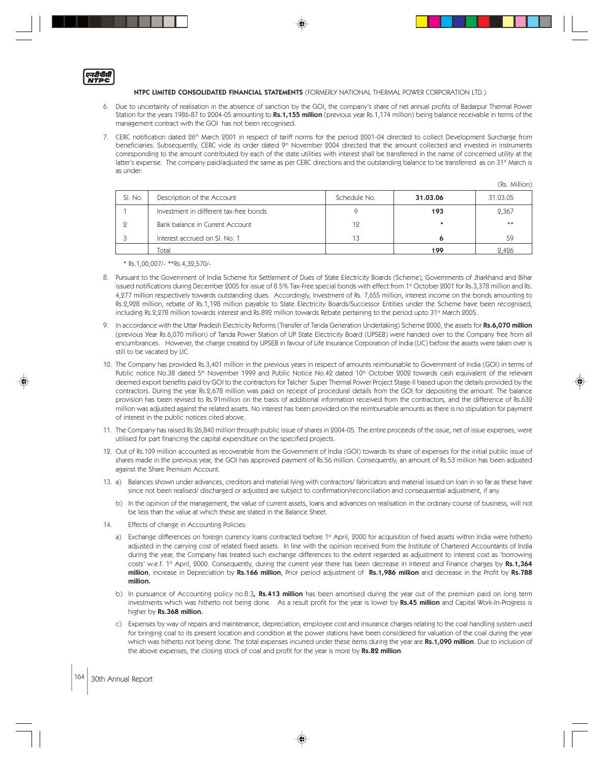एन**दीपीती**<br>NTPC

- 6. Due to uncertainty of realisation in the absence of sanction by the GOI, the company's share of net annual profits of Badarpur Thermal Power Station for the years 1986-87 to 2004-05 amounting to Rs.1,155 million (previous year Rs.1,174 million) being balance receivable in terms of the management contract with the GOI has not been recognised.
- 7. CERC notification dated 26<sup>th</sup> March 2001 in respect of tariff norms for the period 2001-04 directed to collect Development Surcharge from beneficiaries. Subsequently, CERC vide its order dated 9<sup>th</sup> November 2004 directed that the amount collected and invested in instruments corresponding to the amount contributed by each of the state utilities with interest shall be transferred in the name of concerned utility at the latter's expense. The company paid/adjusted the same as per CERC directions and the outstanding balance to be transferred as on 31st March is as under:

|         |                                        |              |          | 、、、、、、、、、、、、、、、 |
|---------|----------------------------------------|--------------|----------|-----------------|
| SI. No. | Description of the Account             | Schedule No. | 31.03.06 | 31.03.05        |
|         | Investment in different tax-free bonds |              | 193      | 2,367           |
|         | Bank balance in Current Account        | 12           |          | **              |
|         | Interest accrued on SI, No. 1          |              |          | 59              |
|         | Total                                  |              | 199      | 2.426           |

(Rs. Million)

\* Rs.1,00,007/- \*\*Rs.4,32,570/-

- 8. Pursuant to the Government of India Scheme for Settlement of Dues of State Electricity Boards (Scheme), Governments of Jharkhand and Bihar issued notifications during December 2005 for issue of 8.5% Tax-Free special bonds with effect from 1<sup>st</sup> October 2001 for Rs.3,378 million and Rs. 4,277 million respectively towards outstanding dues. Accordingly, Investment of Rs. 7,655 million, interest income on the bonds amounting to Rs.2,928 million, rebate of Rs.1,198 million payable to State Electricity Boards/Successor Entities under the Scheme have been recognised, including Rs.2,278 million towards interest and Rs.892 million towards Rebate pertaining to the period upto 31<sup>st</sup> March 2005.
- In accordance with the Uttar Pradesh Electricity Reforms (Transfer of Tanda Generation Undertaking) Scheme 2000, the assets for Rs.6,070 million (previous Year Rs.6,070 million) of Tanda Power Station of UP State Electricity Board (UPSEB) were handed over to the Company free from all encumbrances. However, the charge created by UPSEB in favour of Life Insurance Corporation of India (LIC) before the assets were taken over is still to be vacated by LIC.
- 10. The Company has provided Rs.3,401 million in the previous years in respect of amounts reimbursable to Government of India (GOI) in terms of Public notice No.38 dated 5<sup>th</sup> November 1999 and Public Notice No.42 dated 10<sup>th</sup> October 2002 towards cash equivalent of the relevant deemed export benefits paid by GOI to the contractors for Talcher Super Thermal Power Project Stage-II based upon the details provided by the contractors. During the year Rs.2,678 million was paid on receipt of procedural details from the GOI for depositing the amount. The balance provision has been revised to Rs.91million on the basis of additional information received from the contractors, and the difference of Rs.632 million was adjusted against the related assets. No interest has been provided on the reimbursable amounts as there is no stipulation for payment of interest in the public notices cited above.
- 11. The Company has raised Rs.26,840 million through public issue of shares in 2004-05. The entire proceeds of the issue, net of issue expenses, were utilised for part financing the capital expenditure on the specified projects.
- 12. Out of Rs.109 million accounted as recoverable from the Government of India (GOI) towards its share of expenses for the initial public issue of shares made in the previous year, the GOI has approved payment of Rs.56 million. Consequently, an amount of Rs.53 million has been adjusted against the Share Premium Account.
- 13. a) Balances shown under advances, creditors and material lying with contractors/ fabricators and material issued on loan in so far as these have since not been realised/ discharged or adjusted are subject to confirmation/reconciliation and consequential adjustment, if any.
	- b) In the opinion of the management, the value of current assets, loans and advances on realisation in the ordinary course of business, will not be less than the value at which these are stated in the Balance Sheet.
- 14. Effects of change in Accounting Policies:
	- a) Exchange differences on foreign currency loans contracted before 1st April, 2000 for acquisition of fixed assets within India were hitherto adjusted in the carrying cost of related fixed assets. In line with the opinion received from the Institute of Chartered Accountants of India during the year, the Company has treated such exchange differences to the extent regarded as adjustment to interest cost as 'borrowing costs' w.e.f. 1<sup>st</sup> April, 2000. Consequently, during the current year there has been decrease in Interest and Finance charges by Rs.1,364 million, increase in Depreciation by Rs.166 million, Prior period adjustment of Rs.1,986 million and decrease in the Profit by Rs.788 million.
	- b) In pursuance of Accounting policy no.8.3, Rs.413 million has been amortised during the year out of the premium paid on long term investments which was hitherto not being done. As a result profit for the year is lower by Rs.45 million and Capital Work-In-Progress is higher by Rs.368 million.
	- c) Expenses by way of repairs and maintenance, depreciation, employee cost and insurance charges relating to the coal handling system used for bringing coal to its present location and condition at the power stations have been considered for valuation of the coal during the year which was hitherto not being done. The total expenses incurred under these items during the year are Rs.1,090 million. Due to inclusion of the above expenses, the closing stock of coal and profit for the year is more by Rs.82 million.

## 164 30th Annual Report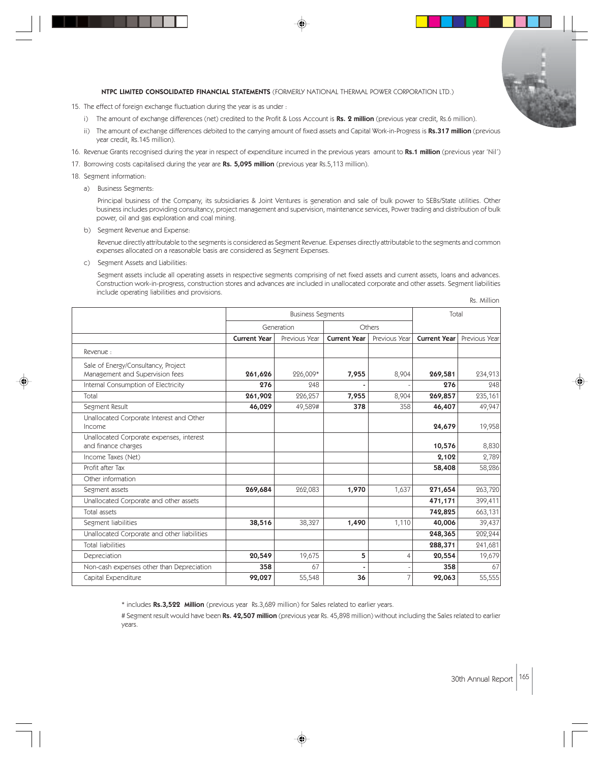

- 15. The effect of foreign exchange fluctuation during the year is as under :
	- i) The amount of exchange differences (net) credited to the Profit & Loss Account is Rs. 2 million (previous year credit, Rs.6 million).
	- ii) The amount of exchange differences debited to the carrying amount of fixed assets and Capital Work-in-Progress is Rs.317 million (previous year credit, Rs.145 million).
- 16. Revenue Grants recognised during the year in respect of expenditure incurred in the previous years amount to Rs.1 million (previous year 'Nil')
- 17. Borrowing costs capitalised during the year are Rs. 5,095 million (previous year Rs.5,113 million).

18. Segment information:

a) Business Segments:

Principal business of the Company, its subsidiaries & Joint Ventures is generation and sale of bulk power to SEBs/State utilities. Other business includes providing consultancy, project management and supervision, maintenance services, Power trading and distribution of bulk power, oil and gas exploration and coal mining.

b) Segment Revenue and Expense:

Revenue directly attributable to the segments is considered as Segment Revenue. Expenses directly attributable to the segments and common expenses allocated on a reasonable basis are considered as Segment Expenses.

c) Segment Assets and Liabilities:

Segment assets include all operating assets in respective segments comprising of net fixed assets and current assets, loans and advances. Construction work-in-progress, construction stores and advances are included in unallocated corporate and other assets. Segment liabilities include operating liabilities and provisions.

|                                                                        | <b>Business Segments</b> |               |                     | Total          |                     |               |
|------------------------------------------------------------------------|--------------------------|---------------|---------------------|----------------|---------------------|---------------|
|                                                                        | Generation               |               | Others              |                |                     |               |
|                                                                        | <b>Current Year</b>      | Previous Year | <b>Current Year</b> | Previous Year  | <b>Current Year</b> | Previous Year |
| Revenue:                                                               |                          |               |                     |                |                     |               |
| Sale of Energy/Consultancy, Project<br>Management and Supervision fees | 261,626                  | 226,009*      | 7,955               | 8,904          | 269,581             | 234,913       |
| Internal Consumption of Electricity                                    | 276                      | 248           |                     |                | 276                 | 248           |
| Total                                                                  | 261,902                  | 226,257       | 7,955               | 8,904          | 269,857             | 235,161       |
| Segment Result                                                         | 46,029                   | 49,589#       | 378                 | 358            | 46,407              | 49,947        |
| Unallocated Corporate Interest and Other<br>Income                     |                          |               |                     |                | 24,679              | 19,958        |
| Unallocated Corporate expenses, interest<br>and finance charges        |                          |               |                     |                | 10,576              | 8,830         |
| Income Taxes (Net)                                                     |                          |               |                     |                | 2,102               | 2,789         |
| Profit after Tax                                                       |                          |               |                     |                | 58,408              | 58,286        |
| Other information                                                      |                          |               |                     |                |                     |               |
| Segment assets                                                         | 269,684                  | 262,083       | 1,970               | 1,637          | 271,654             | 263,720       |
| Unallocated Corporate and other assets                                 |                          |               |                     |                | 471,171             | 399,411       |
| Total assets                                                           |                          |               |                     |                | 742,825             | 663,131       |
| Segment liabilities                                                    | 38,516                   | 38,327        | 1,490               | 1,110          | 40,006              | 39,437        |
| Unallocated Corporate and other liabilities                            |                          |               |                     |                | 248,365             | 202,244       |
| <b>Total liabilities</b>                                               |                          |               |                     |                | 288,371             | 241,681       |
| Depreciation                                                           | 20,549                   | 19,675        | 5                   | $\overline{4}$ | 20,554              | 19,679        |
| Non-cash expenses other than Depreciation                              | 358                      | 67            |                     |                | 358                 | 67            |
| Capital Expenditure                                                    | 92,027                   | 55,548        | 36                  | 7              | 92,063              | 55,555        |

\* includes Rs.3,522 Million (previous year Rs.3,689 million) for Sales related to earlier years.

# Segment result would have been Rs. 42,507 million (previous year Rs. 45,898 million) without including the Sales related to earlier years.

Rs. Million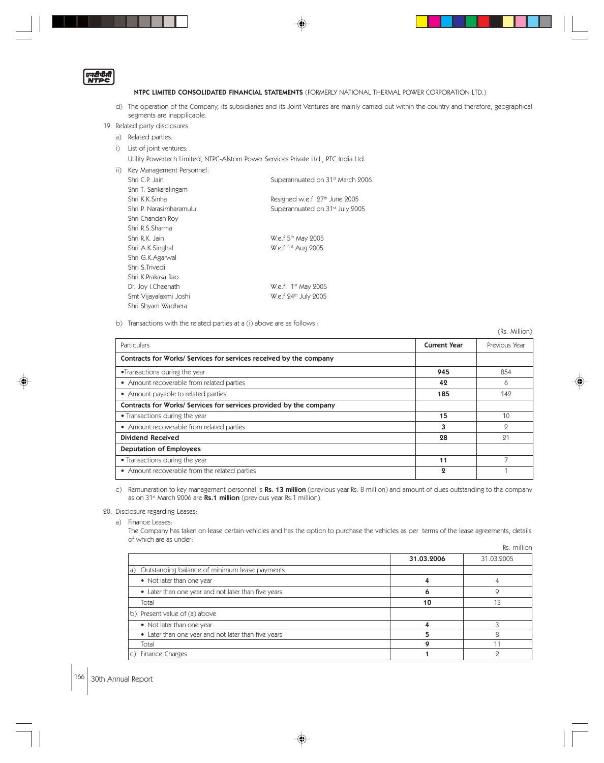एनरीपीती<br>NTPC

- d) The operation of the Company, its subsidiaries and its Joint Ventures are mainly carried out within the country and therefore, geographical segments are inapplicable.
- 19. Related party disclosures
	- a) Related parties:
	- i) List of joint ventures:
		- Utility Powertech Limited, NTPC-Alstom Power Services Private Ltd., PTC India Ltd.

| $\vert \vert$ ) | Key Management Personnel: |                                              |
|-----------------|---------------------------|----------------------------------------------|
|                 | Shri C.P. Jain            | Superannuated on 31 <sup>st</sup> March 2006 |
|                 | Shri T. Sankaralingam     |                                              |
|                 | Shri K.K.Sinha            | Resigned w.e.f 27th June 2005                |
|                 | Shri P. Narasimharamulu   | Superannuated on 31 <sup>st</sup> July 2005  |
|                 | Shri Chandan Roy          |                                              |
|                 | Shri R.S.Sharma           |                                              |
|                 | Shri R.K. Jain            | W.e.f 5 <sup>th</sup> May 2005               |
|                 | Shri A.K.Singhal          | W.e.f 1 <sup>st</sup> Aug 2005               |
|                 | Shri G.K.Agarwal          |                                              |
|                 | Shri S.Trivedi            |                                              |
|                 | Shri K.Prakasa Rao        |                                              |
|                 | Dr. Joy I.Cheenath        | W.e.f. 1 <sup>st</sup> May 2005              |
|                 | Smt Vijayalaxmi Joshi     | W.e.f 24 <sup>th</sup> July 2005             |
|                 | Shri Shyam Wadhera        |                                              |

b) Transactions with the related parties at a (i) above are as follows :

|                                                                    |                       | (Rs. Million) |
|--------------------------------------------------------------------|-----------------------|---------------|
| Particulars                                                        | <b>Current Year</b>   | Previous Year |
| Contracts for Works/ Services for services received by the company |                       |               |
| •Transactions during the year                                      | 945                   | 854           |
| • Amount recoverable from related parties                          | 42                    | 6             |
| • Amount payable to related parties                                | 185                   | 142           |
| Contracts for Works/ Services for services provided by the company |                       |               |
| • Transactions during the year                                     | 15                    | 10            |
| • Amount recoverable from related parties                          | 3                     | $\Omega$      |
| <b>Dividend Received</b>                                           | 28                    | 21            |
| <b>Deputation of Employees</b>                                     |                       |               |
| • Transactions during the year                                     | 11                    |               |
| • Amount recoverable from the related parties                      | $\boldsymbol{\Omega}$ |               |

c) Remuneration to key management personnel is Rs. 13 million (previous year Rs. 8 million) and amount of dues outstanding to the company as on 31<sup>st</sup> March 2006 are Rs.1 million (previous year Rs.1 million).

20. Disclosure regarding Leases:

a) Finance Leases:

The Company has taken on lease certain vehicles and has the option to purchase the vehicles as per terms of the lease agreements, details of which are as under: Rs. million

|                                                     |            | .          |
|-----------------------------------------------------|------------|------------|
|                                                     | 31.03.2006 | 31.03.2005 |
| a) Outstanding balance of minimum lease payments    |            |            |
| • Not later than one year                           |            |            |
| • Later than one year and not later than five years |            |            |
| Total                                               | 10         | 13         |
| b) Present value of (a) above                       |            |            |
| • Not later than one year                           |            |            |
| • Later than one year and not later than five years |            |            |
| Total                                               |            | 1.         |
| c) Finance Charges                                  |            |            |

# 166 30th Annual Report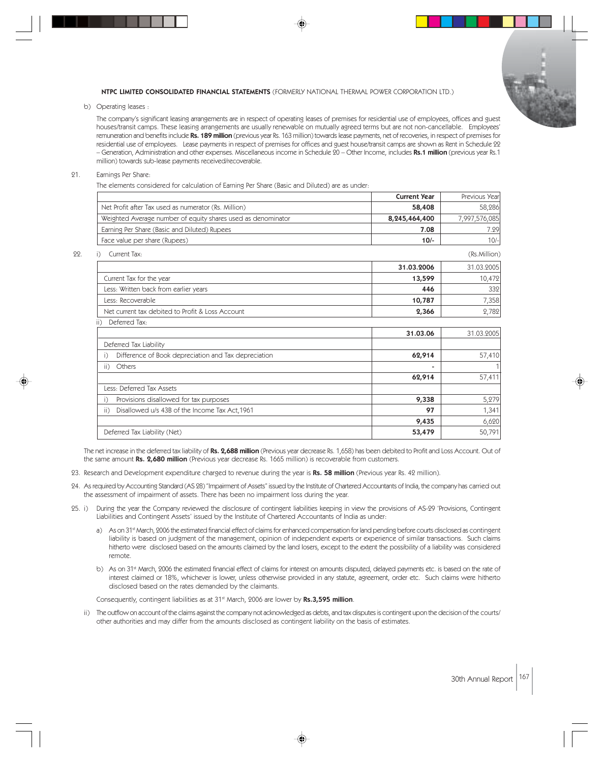

b) Operating leases :

The company's significant leasing arrangements are in respect of operating leases of premises for residential use of employees, offices and guest houses/transit camps. These leasing arrangements are usually renewable on mutually agreed terms but are not non-cancellable. Employees' remuneration and benefits include Rs. 189 million (previous year Rs. 163 million) towards lease payments, net of recoveries, in respect of premises for residential use of employees. Lease payments in respect of premises for offices and guest house/transit camps are shown as Rent in Schedule 22 – Generation, Administration and other expenses. Miscellaneous income in Schedule 20 – Other Income, includes Rs.1 million (previous year Rs.1 million) towards sub-lease payments received/recoverable.

#### 21. Earnings Per Share:

The elements considered for calculation of Earning Per Share (Basic and Diluted) are as under:

|                                                              | <b>Current Year</b> | Previous Year |
|--------------------------------------------------------------|---------------------|---------------|
| Net Profit after Tax used as numerator (Rs. Million)         | 58,408              | 58,286        |
| Weighted Average number of equity shares used as denominator | 8,245,464,400       | 7,997,576,085 |
| Earning Per Share (Basic and Diluted) Rupees                 | 7.08                | 7.29          |
| Face value per share (Rupees)                                | $10/-$              | $10/-$        |
| Current Tax:                                                 |                     | (Rs.Million)  |
|                                                              | 31.03.2006          | 31.03.2005    |
| Current Tax for the year                                     | 13,599              | 10,472        |
| Less: Written back from earlier years                        | 446                 | 332           |
| Less: Recoverable                                            | 10,787              | 7,358         |
| Net current tax debited to Profit & Loss Account             | 2,366               | 2,782         |
| Deferred Tax:<br>ii)                                         |                     |               |
|                                                              | 31.03.06            | 31.03.2005    |
| Deferred Tax Liability                                       |                     |               |
| Difference of Book depreciation and Tax depreciation         | 62,914              | 57,410        |
| Others<br>$\overline{ii}$                                    |                     |               |
|                                                              | 62,914              | 57,411        |
| Less: Deferred Tax Assets                                    |                     |               |
| Provisions disallowed for tax purposes                       | 9,338               | 5,279         |
| Disallowed u/s 43B of the Income Tax Act, 1961<br>ii)        | 97                  | 1,341         |
|                                                              | 9,435               | 6,620         |
| Deferred Tax Liability (Net)                                 | 53,479              | 50,791        |

The net increase in the deferred tax liability of Rs. 2,688 million (Previous year decrease Rs. 1,658) has been debited to Profit and Loss Account. Out of the same amount Rs. 2,680 million (Previous year decrease Rs. 1665 million) is recoverable from customers.

- 23. Research and Development expenditure charged to revenue during the year is Rs. 58 million (Previous year Rs. 42 million).
- 24. As required by Accounting Standard (AS 28) "Impairment of Assets" issued by the Institute of Chartered Accountants of India, the company has carried out the assessment of impairment of assets. There has been no impairment loss during the year.
- 25. i) During the year the Company reviewed the disclosure of contingent liabilities keeping in view the provisions of AS-29 'Provisions, Contingent Liabilities and Contingent Assets' issued by the Institute of Chartered Accountants of India as under:
	- a) As on 31<sup>st</sup> March, 2006 the estimated financial effect of claims for enhanced compensation for land pending before courts disclosed as contingent liability is based on judgment of the management, opinion of independent experts or experience of similar transactions. Such claims hitherto were disclosed based on the amounts claimed by the land losers, except to the extent the possibility of a liability was considered remote.
	- b) As on 31<sup>st</sup> March, 2006 the estimated financial effect of claims for interest on amounts disputed, delayed payments etc. is based on the rate of interest claimed or 18%, whichever is lower, unless otherwise provided in any statute, agreement, order etc. Such claims were hitherto disclosed based on the rates demanded by the claimants.

Consequently, contingent liabilities as at 31<sup>st</sup> March, 2006 are lower by Rs.3,595 million.

ii) The outflow on account of the claims against the company not acknowledged as debts, and tax disputes is contingent upon the decision of the courts/ other authorities and may differ from the amounts disclosed as contingent liability on the basis of estimates.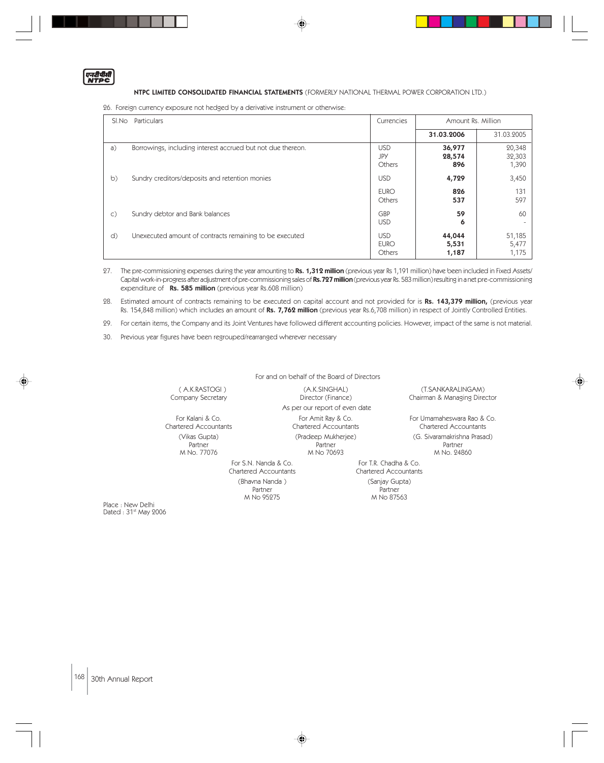एनटीपीती

## NTPC LIMITED CONSOLIDATED FINANCIAL STATEMENTS (FORMERLY NATIONAL THERMAL POWER CORPORATION LTD.)

26. Foreign currency exposure not hedged by a derivative instrument or otherwise:

| SI.No          | Particulars                                                 | Currencies                          | Amount Rs. Million       |                           |
|----------------|-------------------------------------------------------------|-------------------------------------|--------------------------|---------------------------|
|                |                                                             |                                     | 31.03.2006               | 31.03.2005                |
| a)             | Borrowings, including interest accrued but not due thereon. | <b>USD</b><br>JPY<br>Others         | 36,977<br>28,574<br>896  | 20,348<br>32,303<br>1,390 |
| b)             | Sundry creditors/deposits and retention monies              | <b>USD</b>                          | 4,729                    | 3,450                     |
|                |                                                             | <b>EURO</b><br>Others               | 826<br>537               | 131<br>597                |
| $\mathsf{C}$ ) | Sundry debtor and Bank balances                             | <b>GBP</b><br><b>USD</b>            | 59<br>6                  | 60                        |
| d)             | Unexecuted amount of contracts remaining to be executed     | <b>USD</b><br><b>EURO</b><br>Others | 44,044<br>5,531<br>1,187 | 51,185<br>5,477<br>1,175  |

27. The pre-commissioning expenses during the year amounting to Rs. 1,312 million (previous year Rs 1,191 million) have been included in Fixed Assets/ Capital work-in-progress after adjustment of pre-commissioning sales of Rs.727 million (previous year Rs. 583 million) resulting in a net pre-commissioning expenditure of Rs. 585 million (previous year Rs.608 million)

28. Estimated amount of contracts remaining to be executed on capital account and not provided for is Rs. 143,379 million, (previous year Rs. 154,848 million) which includes an amount of Rs. 7,762 million (previous year Rs.6,708 million) in respect of Jointly Controlled Entities.

29. For certain items, the Company and its Joint Ventures have followed different accounting policies. However, impact of the same is not material.

For and on behalf of the Board of Directors

30. Previous year figures have been regrouped/rearranged wherever necessary

For S.N. Nanda & Co. For T.R. Chadha & Co. (Bhavna Nanda)

Partner Partner Partner Partner<br>M No 95275 M No 875

 ( A.K.RASTOGI ) (A.K.SINGHAL) (T.SANKARALINGAM) As per our report of even date For Kalani & Co. For Amit Ray & Co. For Amit Ray & Co. For Umamaheswara Rao & Co. Chartered Accountants Chartered Accountants Chartered Accountants (Vikas Gupta) (Pradeep Mukherjee) (G. Sivaramakrishna Prasad) Partner Partner Partner

Chairman & Managing Director

M No. 77076 M No 70693 M No. 24860

Chartered Accountants<br>
(Sanjay Gupta) M No 87563

Place : New Delhi<br>Dated : 31<sup>st</sup> May 2006

168 30th Annual Report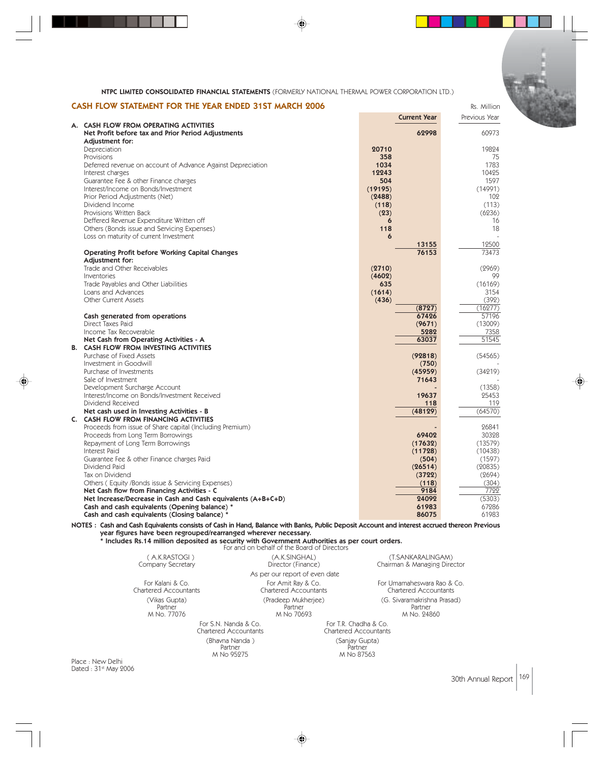| CASH FLOW STATEMENT FOR THE YEAR ENDED 31ST MARCH 2006 | Rs. Million |
|--------------------------------------------------------|-------------|

|                                                                                       | <b>Current Year</b> | Previous Year   |
|---------------------------------------------------------------------------------------|---------------------|-----------------|
| A. CASH FLOW FROM OPERATING ACTIVITIES                                                | 62998               | 60973           |
| Net Profit before tax and Prior Period Adjustments<br>Adjustment for:                 |                     |                 |
| Depreciation                                                                          | 20710               | 19824           |
| Provisions                                                                            | 358                 | 75              |
| Deferred revenue on account of Advance Against Depreciation                           | 1034                | 1783            |
| Interest charges                                                                      | 12243               | 10425           |
| Guarantee Fee & other Finance charges                                                 | 504                 | 1597            |
| Interest/Income on Bonds/Investment                                                   | (19195)             | (14991)         |
| Prior Period Adjustments (Net)                                                        | (2488)              | 102             |
| Dividend Income                                                                       | (118)               | (113)           |
| Provisions Written Back                                                               | (23)                | (6236)          |
| Deffered Revenue Expenditure Written off                                              | 6                   | 16<br>18        |
| Others (Bonds issue and Servicing Expenses)<br>Loss on maturity of current Investment | 118<br>6            |                 |
|                                                                                       | 13155               | 12500           |
| <b>Operating Profit before Working Capital Changes</b>                                | 76153               | 73473           |
| Adjustment for:                                                                       |                     |                 |
| Trade and Other Receivables                                                           | (2710)              | (2969)          |
| Inventories                                                                           | (4602)              | 99              |
| Trade Payables and Other Liabilities                                                  | 635                 | (16169)         |
| Loans and Advances                                                                    | (1614)              | 3154            |
| <b>Other Current Assets</b>                                                           | (436)               | (392)           |
|                                                                                       | (8727)              | (16277)         |
| Cash generated from operations<br>Direct Taxes Paid                                   | 67426               | 57196           |
| Income Tax Recoverable                                                                | (9671)<br>5282      | (13009)<br>7358 |
| Net Cash from Operating Activities - A                                                | 63037               | 51545           |
| <b>B. CASH FLOW FROM INVESTING ACTIVITIES</b>                                         |                     |                 |
| Purchase of Fixed Assets                                                              | (92818)             | (54565)         |
| Investment in Goodwill                                                                | (750)               |                 |
| Purchase of Investments                                                               | (45959)             | (34219)         |
| Sale of Investment                                                                    | 71643               |                 |
| Development Surcharge Account                                                         |                     | (1358)          |
| Interest/Income on Bonds/Investment Received                                          | 19637               | 25453           |
| Dividend Received                                                                     | 118                 | 119             |
| Net cash used in Investing Activities - B<br>C. CASH FLOW FROM FINANCING ACTIVITIES   | (48129)             | (64570)         |
| Proceeds from issue of Share capital (Including Premium)                              |                     | 26841           |
| Proceeds from Long Term Borrowings                                                    | 69402               | 30328           |
| Repayment of Long Term Borrowings                                                     | (17632)             | (13579)         |
| Interest Paid                                                                         | (11728)             | (10438)         |
| Guarantee Fee & other Finance charges Paid                                            | (504)               | (1597)          |
| Dividend Paid                                                                         | (26514)             | (20835)         |
| Tax on Dividend                                                                       | (3722)              | (2694)          |
| Others (Equity /Bonds issue & Servicing Expenses)                                     | (118)               | (304)           |
| Net Cash flow from Financing Activities - C                                           | 9184                | 7722            |
| Net Increase/Decrease in Cash and Cash equivalents (A+B+C+D)                          | 24092               | (5303)          |
| Cash and cash equivalents (Opening balance) *                                         | 61983               | 67286           |
| Cash and cash equivalents (Closing balance) *                                         | 86075               | 61983           |

NOTES : Cash and Cash Equivalents consists of Cash in Hand, Balance with Banks, Public Deposit Account and interest accrued thereon Previous year figures have been regrouped/rearranged wherever necessary.

\* Includes Rs.14 million deposited as security with Government Authorities as per court orders. For and on behalf of the Board of Directors

|                 | A.K.RASTOGI)<br>Company Secretary         | (A.K.SINGHAL)<br>Director (Finance)                  |                                                       | (T.SANKARALINGAM)<br>Chairman & Managing Director          |
|-----------------|-------------------------------------------|------------------------------------------------------|-------------------------------------------------------|------------------------------------------------------------|
|                 |                                           | As per our report of even date                       |                                                       |                                                            |
|                 | For Kalani & Co.<br>Chartered Accountants | For Amit Ray & Co.<br>Chartered Accountants          |                                                       | For Umamaheswara Rao & Co.<br><b>Chartered Accountants</b> |
|                 | (Vikas Gupta)<br>Partner<br>M No. 77076   | (Pradeep Mukherjee)<br>Partner<br>M No 70693         |                                                       | (G. Sivaramakrishna Prasad)<br>Partner<br>M No. 24860      |
|                 |                                           | For S.N. Nanda & Co.<br><b>Chartered Accountants</b> | For T.R. Chadha & Co.<br><b>Chartered Accountants</b> |                                                            |
|                 |                                           | (Bhavna Nanda)<br>Partner<br>M No 95275              | (Sanjay Gupta)<br>Partner<br>M No 87563               |                                                            |
| ace : New Delhi |                                           |                                                      |                                                       |                                                            |

Place : New Delhi<br>Dated : 31<sup>st</sup> May 2006

30th Annual Report 169